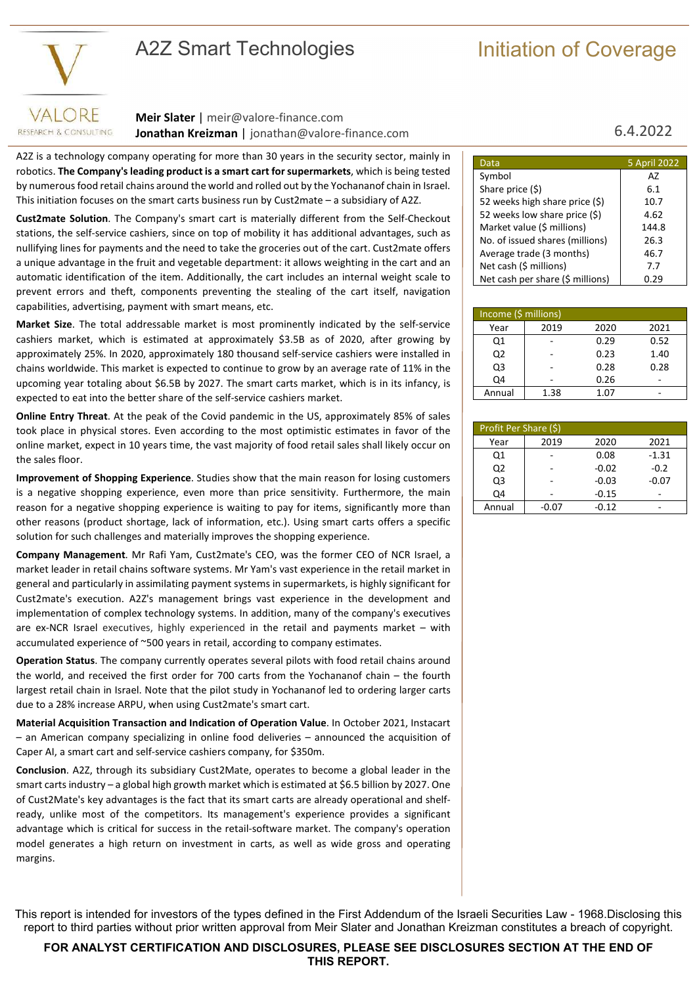# A2Z Smart Technologies **Initiation of Coverage**



RESEARCH & CONSULTING

**Meir Slater** | meir@valore-finance.com **Jonathan Kreizman** | jonathan@valore-finance.com 6.4.2022

A2Z is a technology company operating for more than 30 years in the security sector, mainly in robotics. **The Company's leading product is a smart cart for supermarkets**, which is being tested by numerous food retail chains around the world and rolled out by the Yochananof chain in Israel. This initiation focuses on the smart carts business run by Cust2mate – a subsidiary of A2Z.

**Cust2mate Solution**. The Company's smart cart is materially different from the Self-Checkout stations, the self-service cashiers, since on top of mobility it has additional advantages, such as nullifying lines for payments and the need to take the groceries out of the cart. Cust2mate offers a unique advantage in the fruit and vegetable department: it allows weighting in the cart and an automatic identification of the item. Additionally, the cart includes an internal weight scale to prevent errors and theft, components preventing the stealing of the cart itself, navigation capabilities, advertising, payment with smart means, etc.

**Market Size**. The total addressable market is most prominently indicated by the self-service cashiers market, which is estimated at approximately \$3.5B as of 2020, after growing by approximately 25%. In 2020, approximately 180 thousand self-service cashiers were installed in chains worldwide. This market is expected to continue to grow by an average rate of 11% in the upcoming year totaling about \$6.5B by 2027. The smart carts market, which is in its infancy, is expected to eat into the better share of the self-service cashiers market.

**Online Entry Threat**. At the peak of the Covid pandemic in the US, approximately 85% of sales took place in physical stores. Even according to the most optimistic estimates in favor of the online market, expect in 10 years time, the vast majority of food retail sales shall likely occur on the sales floor.

**Improvement of Shopping Experience**. Studies show that the main reason for losing customers is a negative shopping experience, even more than price sensitivity. Furthermore, the main reason for a negative shopping experience is waiting to pay for items, significantly more than other reasons (product shortage, lack of information, etc.). Using smart carts offers a specific solution for such challenges and materially improves the shopping experience.

**Company Management**. Mr Rafi Yam, Cust2mate's CEO, was the former CEO of NCR Israel, a market leader in retail chains software systems. Mr Yam's vast experience in the retail market in general and particularly in assimilating payment systems in supermarkets, is highly significant for Cust2mate's execution. A2Z's management brings vast experience in the development and implementation of complex technology systems. In addition, many of the company's executives are ex-NCR Israel executives, highly experienced in the retail and payments market – with accumulated experience of ~500 years in retail, according to company estimates.

**Operation Status**. The company currently operates several pilots with food retail chains around the world, and received the first order for 700 carts from the Yochananof chain – the fourth largest retail chain in Israel. Note that the pilot study in Yochananof led to ordering larger carts due to a 28% increase ARPU, when using Cust2mate's smart cart.

**Material Acquisition Transaction and Indication of Operation Value**. In October 2021, Instacart – an American company specializing in online food deliveries – announced the acquisition of Caper AI, a smart cart and self-service cashiers company, for \$350m.

**Conclusion**. A2Z, through its subsidiary Cust2Mate, operates to become a global leader in the smart carts industry – a global high growth market which is estimated at \$6.5 billion by 2027. One of Cust2Mate's key advantages is the fact that its smart carts are already operational and shelfready, unlike most of the competitors. Its management's experience provides a significant advantage which is critical for success in the retail-software market. The company's operation model generates a high return on investment in carts, as well as wide gross and operating margins.

| Data                             | 5 April 2022 |
|----------------------------------|--------------|
| Symbol                           | А7           |
| Share price (\$)                 | 6.1          |
| 52 weeks high share price (\$)   | 10.7         |
| 52 weeks low share price (\$)    | 4.62         |
| Market value (\$ millions)       | 144.8        |
| No. of issued shares (millions)  | 26.3         |
| Average trade (3 months)         | 46.7         |
| Net cash (\$ millions)           | 7.7          |
| Net cash per share (\$ millions) | 0.29         |

| Income (\$ millions) |      |      |      |  |  |  |
|----------------------|------|------|------|--|--|--|
| Year                 | 2019 | 2020 | 2021 |  |  |  |
| Q1                   |      | 0.29 | 0.52 |  |  |  |
| Q <sub>2</sub>       |      | 0.23 | 1.40 |  |  |  |
| Q <sub>3</sub>       |      | 0.28 | 0.28 |  |  |  |
| Q4                   |      | 0.26 |      |  |  |  |
| Annual               | 1.38 | 1.07 |      |  |  |  |

| Profit Per Share (\$) |         |         |         |  |  |  |
|-----------------------|---------|---------|---------|--|--|--|
| Year                  | 2019    | 2020    | 2021    |  |  |  |
| Q1                    |         | 0.08    | $-1.31$ |  |  |  |
| Q <sub>2</sub>        |         | $-0.02$ | $-0.2$  |  |  |  |
| Q <sub>3</sub>        |         | $-0.03$ | $-0.07$ |  |  |  |
| Q4                    |         | $-0.15$ |         |  |  |  |
| Annual                | $-0.07$ | $-0.12$ |         |  |  |  |

This report is intended for investors of the types defined in the First Addendum of the Israeli Securities Law - 1968.Disclosing this report to third parties without prior written approval from Meir Slater and Jonathan Kreizman constitutes a breach of copyright.

**FOR ANALYST CERTIFICATION AND DISCLOSURES, PLEASE SEE DISCLOSURES SECTION AT THE END OF THIS REPORT.**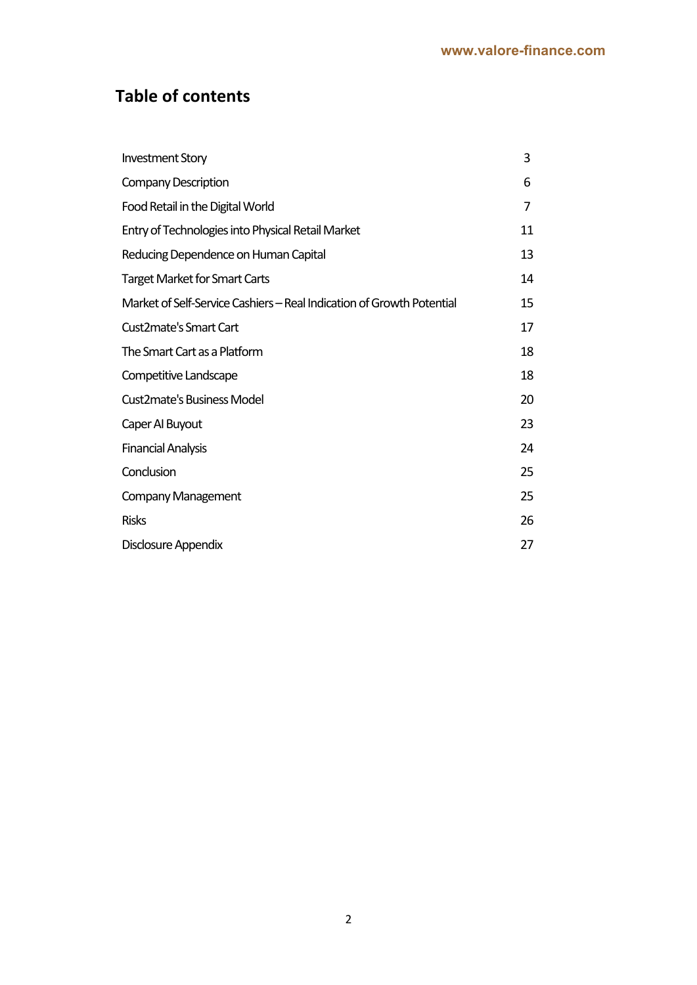# **Table of contents**

| <b>Investment Story</b>                                               | 3  |
|-----------------------------------------------------------------------|----|
| <b>Company Description</b>                                            | 6  |
| Food Retail in the Digital World                                      | 7  |
| Entry of Technologies into Physical Retail Market                     | 11 |
| Reducing Dependence on Human Capital                                  | 13 |
| <b>Target Market for Smart Carts</b>                                  | 14 |
| Market of Self-Service Cashiers – Real Indication of Growth Potential | 15 |
| Cust2mate's Smart Cart                                                | 17 |
| The Smart Cart as a Platform                                          | 18 |
| Competitive Landscape                                                 | 18 |
| <b>Cust2mate's Business Model</b>                                     | 20 |
| Caper Al Buyout                                                       | 23 |
| <b>Financial Analysis</b>                                             | 24 |
| Conclusion                                                            | 25 |
| <b>Company Management</b>                                             | 25 |
| <b>Risks</b>                                                          | 26 |
| Disclosure Appendix                                                   | 27 |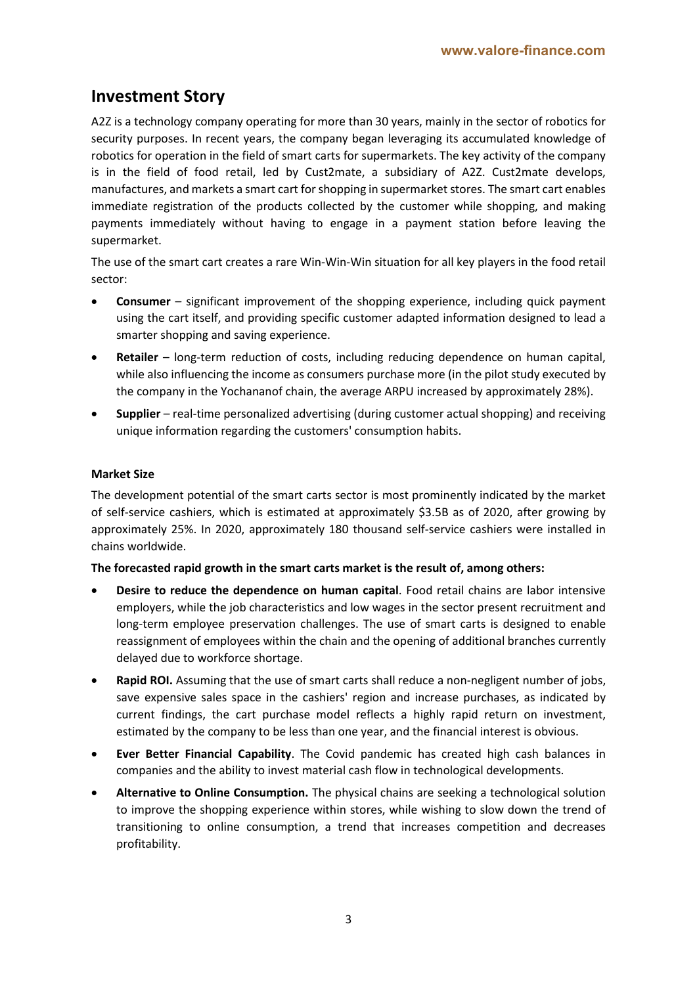# **Investment Story**

A2Z is a technology company operating for more than 30 years, mainly in the sector of robotics for security purposes. In recent years, the company began leveraging its accumulated knowledge of robotics for operation in the field of smart carts for supermarkets. The key activity of the company is in the field of food retail, led by Cust2mate, a subsidiary of A2Z. Cust2mate develops, manufactures, and markets a smart cart for shopping in supermarket stores. The smart cart enables immediate registration of the products collected by the customer while shopping, and making payments immediately without having to engage in a payment station before leaving the supermarket.

The use of the smart cart creates a rare Win-Win-Win situation for all key players in the food retail sector:

- **Consumer** significant improvement of the shopping experience, including quick payment using the cart itself, and providing specific customer adapted information designed to lead a smarter shopping and saving experience.
- **Retailer**  long-term reduction of costs, including reducing dependence on human capital, while also influencing the income as consumers purchase more (in the pilot study executed by the company in the Yochananof chain, the average ARPU increased by approximately 28%).
- **Supplier**  real-time personalized advertising (during customer actual shopping) and receiving unique information regarding the customers' consumption habits.

#### **Market Size**

The development potential of the smart carts sector is most prominently indicated by the market of self-service cashiers, which is estimated at approximately \$3.5B as of 2020, after growing by approximately 25%. In 2020, approximately 180 thousand self-service cashiers were installed in chains worldwide.

#### **The forecasted rapid growth in the smart carts market is the result of, among others:**

- **Desire to reduce the dependence on human capital**. Food retail chains are labor intensive employers, while the job characteristics and low wages in the sector present recruitment and long-term employee preservation challenges. The use of smart carts is designed to enable reassignment of employees within the chain and the opening of additional branches currently delayed due to workforce shortage.
- **Rapid ROI.** Assuming that the use of smart carts shall reduce a non-negligent number of jobs, save expensive sales space in the cashiers' region and increase purchases, as indicated by current findings, the cart purchase model reflects a highly rapid return on investment, estimated by the company to be less than one year, and the financial interest is obvious.
- **Ever Better Financial Capability**. The Covid pandemic has created high cash balances in companies and the ability to invest material cash flow in technological developments.
- **Alternative to Online Consumption.** The physical chains are seeking a technological solution to improve the shopping experience within stores, while wishing to slow down the trend of transitioning to online consumption, a trend that increases competition and decreases profitability.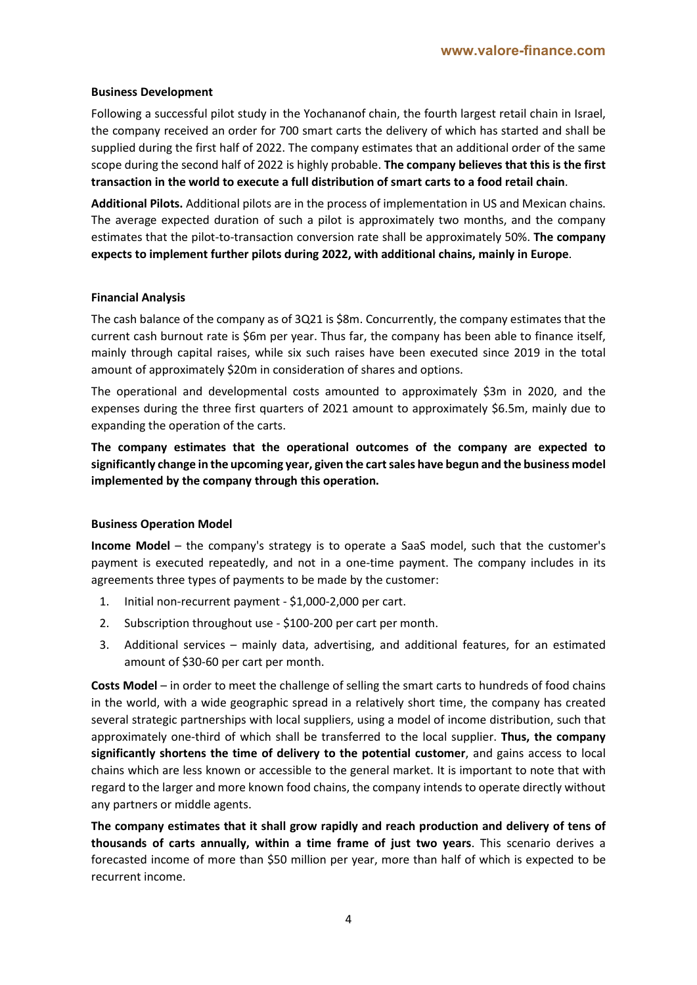#### **Business Development**

Following a successful pilot study in the Yochananof chain, the fourth largest retail chain in Israel, the company received an order for 700 smart carts the delivery of which has started and shall be supplied during the first half of 2022. The company estimates that an additional order of the same scope during the second half of 2022 is highly probable. **The company believes that this is the first transaction in the world to execute a full distribution of smart carts to a food retail chain**.

**Additional Pilots.** Additional pilots are in the process of implementation in US and Mexican chains. The average expected duration of such a pilot is approximately two months, and the company estimates that the pilot-to-transaction conversion rate shall be approximately 50%. **The company expects to implement further pilots during 2022, with additional chains, mainly in Europe**.

#### **Financial Analysis**

The cash balance of the company as of 3Q21 is \$8m. Concurrently, the company estimates that the current cash burnout rate is \$6m per year. Thus far, the company has been able to finance itself, mainly through capital raises, while six such raises have been executed since 2019 in the total amount of approximately \$20m in consideration of shares and options.

The operational and developmental costs amounted to approximately \$3m in 2020, and the expenses during the three first quarters of 2021 amount to approximately \$6.5m, mainly due to expanding the operation of the carts.

**The company estimates that the operational outcomes of the company are expected to significantly change in the upcoming year, given the cart sales have begun and the business model implemented by the company through this operation.**

#### **Business Operation Model**

**Income Model** – the company's strategy is to operate a SaaS model, such that the customer's payment is executed repeatedly, and not in a one-time payment. The company includes in its agreements three types of payments to be made by the customer:

- 1. Initial non-recurrent payment \$1,000-2,000 per cart.
- 2. Subscription throughout use \$100-200 per cart per month.
- 3. Additional services mainly data, advertising, and additional features, for an estimated amount of \$30-60 per cart per month.

**Costs Model** – in order to meet the challenge of selling the smart carts to hundreds of food chains in the world, with a wide geographic spread in a relatively short time, the company has created several strategic partnerships with local suppliers, using a model of income distribution, such that approximately one-third of which shall be transferred to the local supplier. **Thus, the company significantly shortens the time of delivery to the potential customer**, and gains access to local chains which are less known or accessible to the general market. It is important to note that with regard to the larger and more known food chains, the company intends to operate directly without any partners or middle agents.

**The company estimates that it shall grow rapidly and reach production and delivery of tens of thousands of carts annually, within a time frame of just two years**. This scenario derives a forecasted income of more than \$50 million per year, more than half of which is expected to be recurrent income.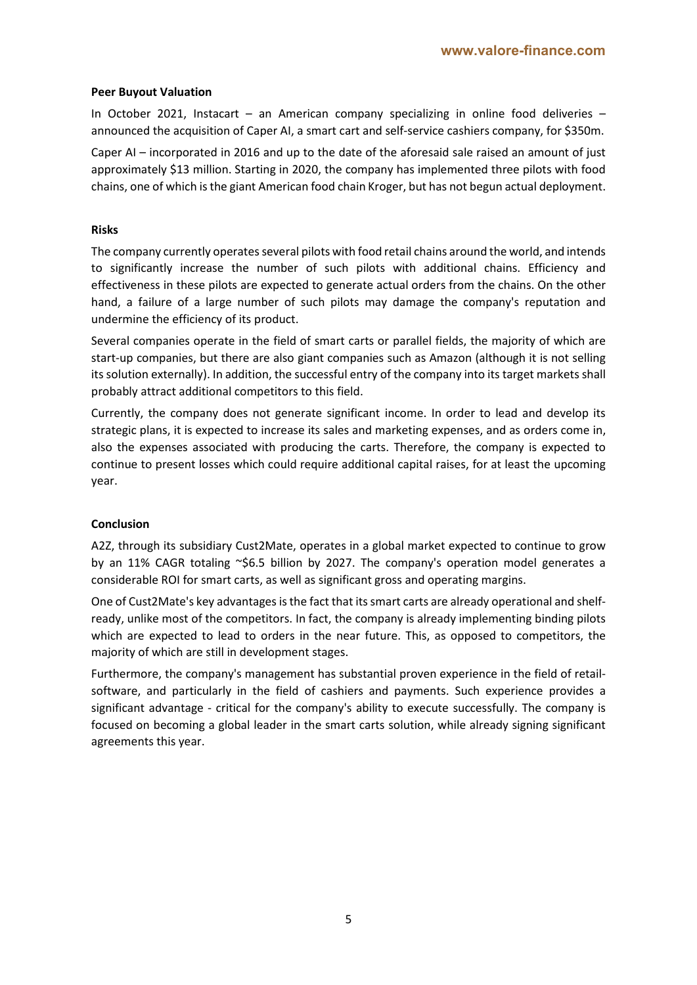#### **Peer Buyout Valuation**

In October 2021, Instacart – an American company specializing in online food deliveries – announced the acquisition of Caper AI, a smart cart and self-service cashiers company, for \$350m.

Caper AI – incorporated in 2016 and up to the date of the aforesaid sale raised an amount of just approximately \$13 million. Starting in 2020, the company has implemented three pilots with food chains, one of which is the giant American food chain Kroger, but has not begun actual deployment.

#### **Risks**

The company currently operates several pilots with food retail chains around the world, and intends to significantly increase the number of such pilots with additional chains. Efficiency and effectiveness in these pilots are expected to generate actual orders from the chains. On the other hand, a failure of a large number of such pilots may damage the company's reputation and undermine the efficiency of its product.

Several companies operate in the field of smart carts or parallel fields, the majority of which are start-up companies, but there are also giant companies such as Amazon (although it is not selling its solution externally). In addition, the successful entry of the company into its target markets shall probably attract additional competitors to this field.

Currently, the company does not generate significant income. In order to lead and develop its strategic plans, it is expected to increase its sales and marketing expenses, and as orders come in, also the expenses associated with producing the carts. Therefore, the company is expected to continue to present losses which could require additional capital raises, for at least the upcoming year.

#### **Conclusion**

A2Z, through its subsidiary Cust2Mate, operates in a global market expected to continue to grow by an 11% CAGR totaling ~\$6.5 billion by 2027. The company's operation model generates a considerable ROI for smart carts, as well as significant gross and operating margins.

One of Cust2Mate's key advantages is the fact that its smart carts are already operational and shelfready, unlike most of the competitors. In fact, the company is already implementing binding pilots which are expected to lead to orders in the near future. This, as opposed to competitors, the majority of which are still in development stages.

Furthermore, the company's management has substantial proven experience in the field of retailsoftware, and particularly in the field of cashiers and payments. Such experience provides a significant advantage - critical for the company's ability to execute successfully. The company is focused on becoming a global leader in the smart carts solution, while already signing significant agreements this year.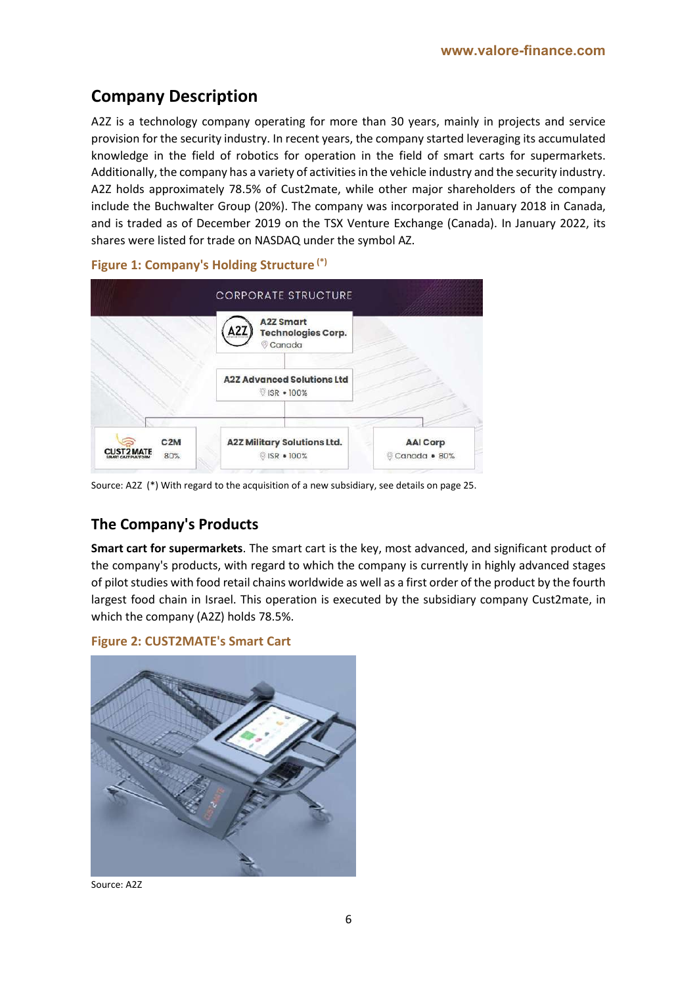# **Company Description**

A2Z is a technology company operating for more than 30 years, mainly in projects and service provision for the security industry. In recent years, the company started leveraging its accumulated knowledge in the field of robotics for operation in the field of smart carts for supermarkets. Additionally, the company has a variety of activities in the vehicle industry and the security industry. A2Z holds approximately 78.5% of Cust2mate, while other major shareholders of the company include the Buchwalter Group (20%). The company was incorporated in January 2018 in Canada, and is traded as of December 2019 on the TSX Venture Exchange (Canada). In January 2022, its shares were listed for trade on NASDAQ under the symbol AZ.



**Figure 1: Company's Holding Structure (\*)**

Source: A2Z (\*) With regard to the acquisition of a new subsidiary, see details on page 25.

# **The Company's Products**

**Smart cart for supermarkets**. The smart cart is the key, most advanced, and significant product of the company's products, with regard to which the company is currently in highly advanced stages of pilot studies with food retail chains worldwide as well as a first order of the product by the fourth largest food chain in Israel. This operation is executed by the subsidiary company Cust2mate, in which the company (A2Z) holds 78.5%.





Source: A2Z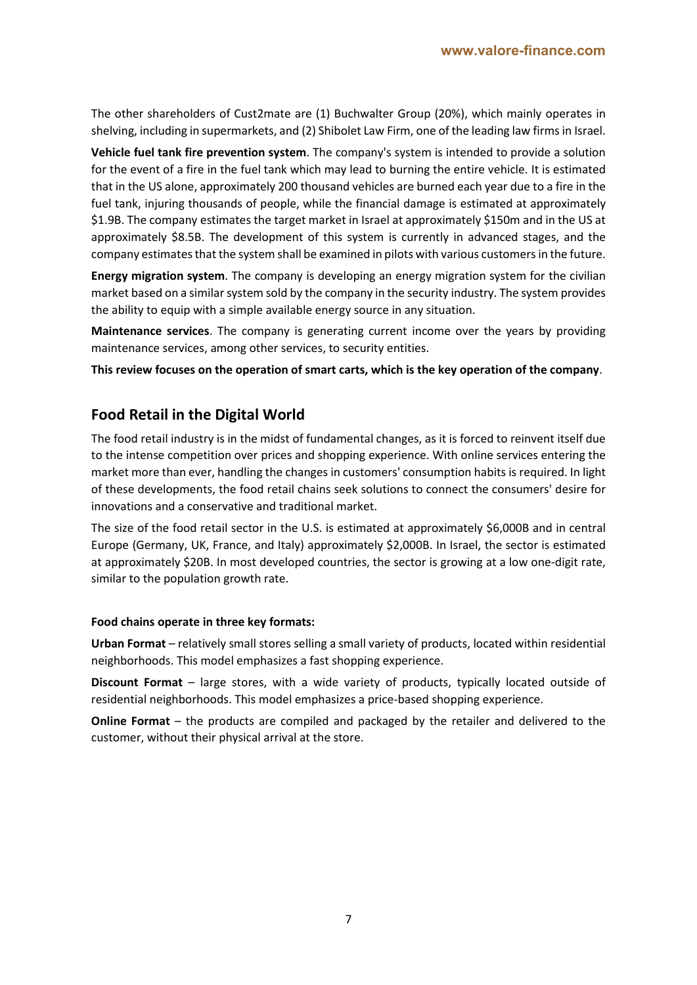The other shareholders of Cust2mate are (1) Buchwalter Group (20%), which mainly operates in shelving, including in supermarkets, and (2) Shibolet Law Firm, one of the leading law firms in Israel.

**Vehicle fuel tank fire prevention system**. The company's system is intended to provide a solution for the event of a fire in the fuel tank which may lead to burning the entire vehicle. It is estimated that in the US alone, approximately 200 thousand vehicles are burned each year due to a fire in the fuel tank, injuring thousands of people, while the financial damage is estimated at approximately \$1.9B. The company estimates the target market in Israel at approximately \$150m and in the US at approximately \$8.5B. The development of this system is currently in advanced stages, and the company estimates that the system shall be examined in pilots with various customers in the future.

**Energy migration system**. The company is developing an energy migration system for the civilian market based on a similar system sold by the company in the security industry. The system provides the ability to equip with a simple available energy source in any situation.

**Maintenance services**. The company is generating current income over the years by providing maintenance services, among other services, to security entities.

**This review focuses on the operation of smart carts, which is the key operation of the company**.

# **Food Retail in the Digital World**

The food retail industry is in the midst of fundamental changes, as it is forced to reinvent itself due to the intense competition over prices and shopping experience. With online services entering the market more than ever, handling the changes in customers' consumption habits is required. In light of these developments, the food retail chains seek solutions to connect the consumers' desire for innovations and a conservative and traditional market.

The size of the food retail sector in the U.S. is estimated at approximately \$6,000B and in central Europe (Germany, UK, France, and Italy) approximately \$2,000B. In Israel, the sector is estimated at approximately \$20B. In most developed countries, the sector is growing at a low one-digit rate, similar to the population growth rate.

#### **Food chains operate in three key formats:**

**Urban Format** – relatively small stores selling a small variety of products, located within residential neighborhoods. This model emphasizes a fast shopping experience.

**Discount Format** – large stores, with a wide variety of products, typically located outside of residential neighborhoods. This model emphasizes a price-based shopping experience.

**Online Format** – the products are compiled and packaged by the retailer and delivered to the customer, without their physical arrival at the store.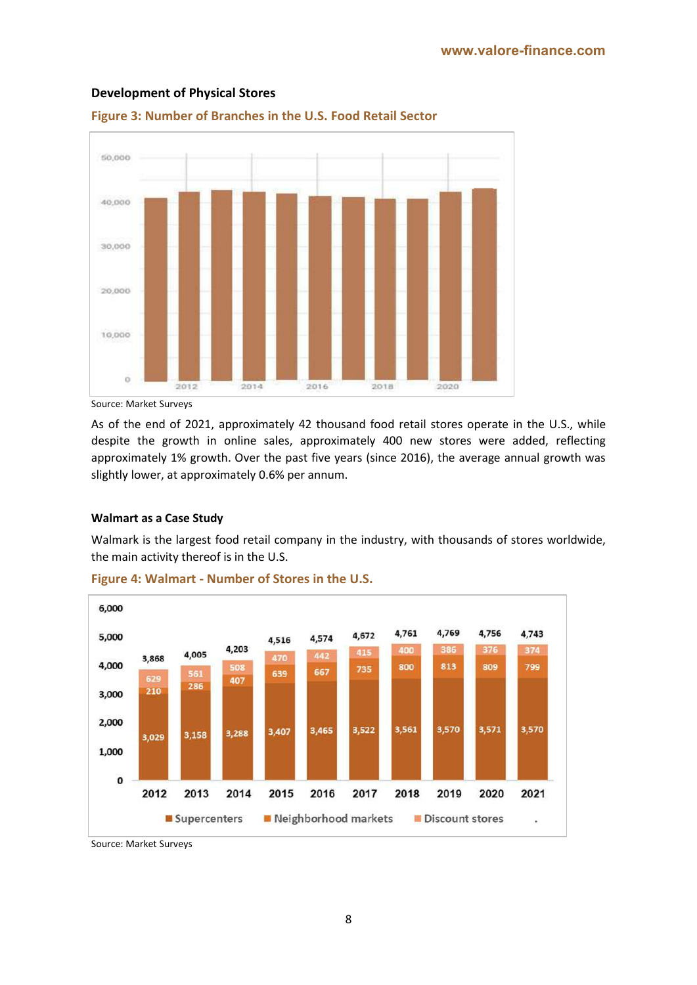

#### **Development of Physical Stores**



Source: Market Surveys

As of the end of 2021, approximately 42 thousand food retail stores operate in the U.S., while despite the growth in online sales, approximately 400 new stores were added, reflecting approximately 1% growth. Over the past five years (since 2016), the average annual growth was slightly lower, at approximately 0.6% per annum.

#### **Walmart as a Case Study**

Walmark is the largest food retail company in the industry, with thousands of stores worldwide, the main activity thereof is in the U.S.



#### **Figure 4: Walmart - Number of Stores in the U.S.**

Source: Market Surveys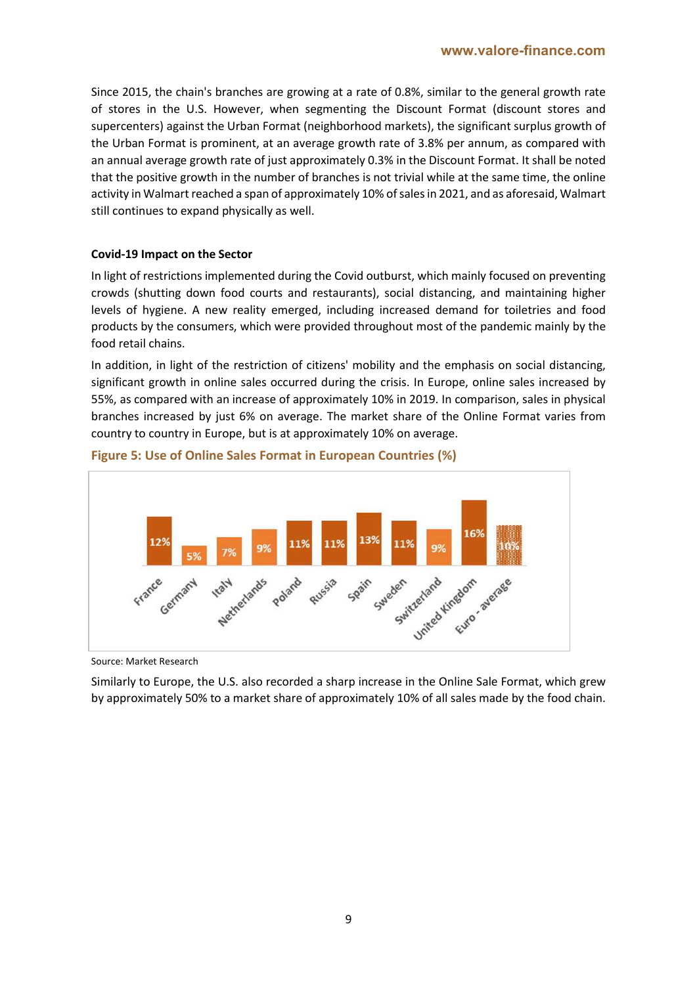Since 2015, the chain's branches are growing at a rate of 0.8%, similar to the general growth rate of stores in the U.S. However, when segmenting the Discount Format (discount stores and supercenters) against the Urban Format (neighborhood markets), the significant surplus growth of the Urban Format is prominent, at an average growth rate of 3.8% per annum, as compared with an annual average growth rate of just approximately 0.3% in the Discount Format. It shall be noted that the positive growth in the number of branches is not trivial while at the same time, the online activity in Walmart reached a span of approximately 10% of sales in 2021, and as aforesaid, Walmart still continues to expand physically as well.

#### **Covid-19 Impact on the Sector**

In light of restrictions implemented during the Covid outburst, which mainly focused on preventing crowds (shutting down food courts and restaurants), social distancing, and maintaining higher levels of hygiene. A new reality emerged, including increased demand for toiletries and food products by the consumers, which were provided throughout most of the pandemic mainly by the food retail chains.

In addition, in light of the restriction of citizens' mobility and the emphasis on social distancing, significant growth in online sales occurred during the crisis. In Europe, online sales increased by 55%, as compared with an increase of approximately 10% in 2019. In comparison, sales in physical branches increased by just 6% on average. The market share of the Online Format varies from country to country in Europe, but is at approximately 10% on average.



#### **Figure 5: Use of Online Sales Format in European Countries (%)**

Source: Market Research

Similarly to Europe, the U.S. also recorded a sharp increase in the Online Sale Format, which grew by approximately 50% to a market share of approximately 10% of all sales made by the food chain.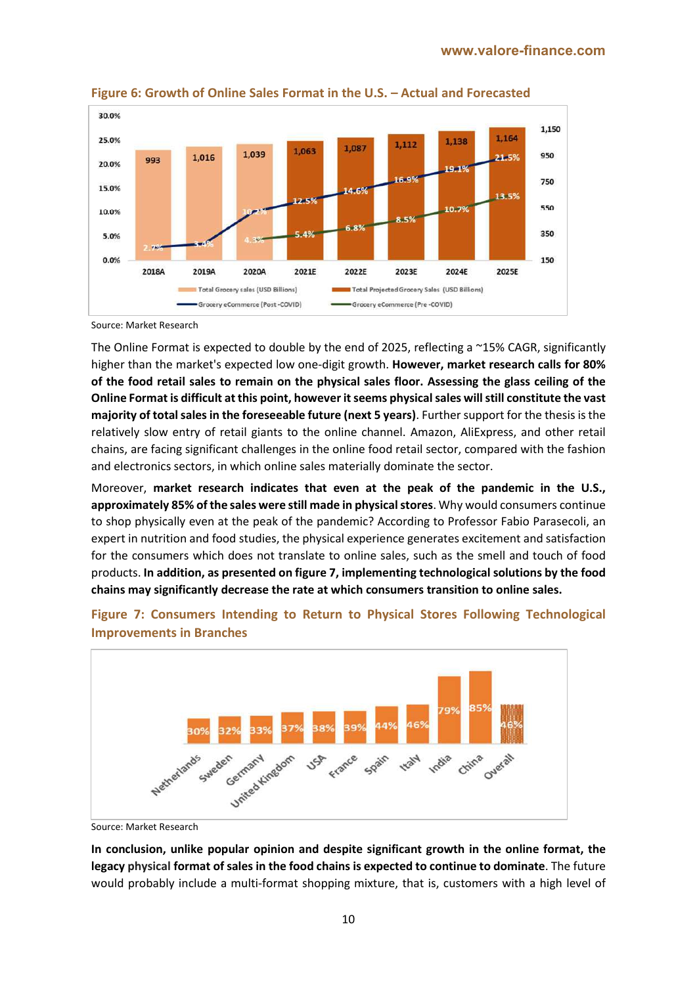

**Figure 6: Growth of Online Sales Format in the U.S. – Actual and Forecasted**

Source: Market Research

The Online Format is expected to double by the end of 2025, reflecting a ~15% CAGR, significantly higher than the market's expected low one-digit growth. **However, market research calls for 80% of the food retail sales to remain on the physical sales floor. Assessing the glass ceiling of the Online Format is difficult at this point, however it seems physical sales will still constitute the vast majority of total salesin the foreseeable future (next 5 years)**. Further support for the thesis is the relatively slow entry of retail giants to the online channel. Amazon, AliExpress, and other retail chains, are facing significant challenges in the online food retail sector, compared with the fashion and electronics sectors, in which online sales materially dominate the sector.

Moreover, **market research indicates that even at the peak of the pandemic in the U.S., approximately 85% of the sales were still made in physical stores**. Why would consumers continue to shop physically even at the peak of the pandemic? According to Professor Fabio Parasecoli, an expert in nutrition and food studies, the physical experience generates excitement and satisfaction for the consumers which does not translate to online sales, such as the smell and touch of food products. **In addition, as presented on figure 7, implementing technological solutions by the food chains may significantly decrease the rate at which consumers transition to online sales.**



**Figure 7: Consumers Intending to Return to Physical Stores Following Technological Improvements in Branches**

Source: Market Research

**In conclusion, unlike popular opinion and despite significant growth in the online format, the legacy physical format of sales in the food chains is expected to continue to dominate**. The future would probably include a multi-format shopping mixture, that is, customers with a high level of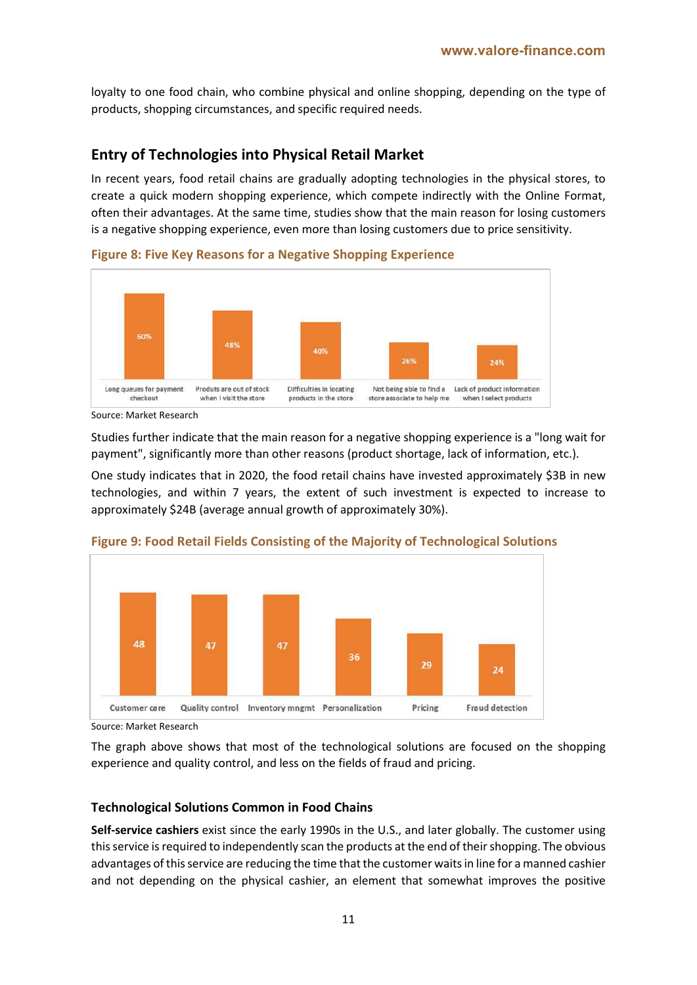loyalty to one food chain, who combine physical and online shopping, depending on the type of products, shopping circumstances, and specific required needs.

### **Entry of Technologies into Physical Retail Market**

In recent years, food retail chains are gradually adopting technologies in the physical stores, to create a quick modern shopping experience, which compete indirectly with the Online Format, often their advantages. At the same time, studies show that the main reason for losing customers is a negative shopping experience, even more than losing customers due to price sensitivity.

60% 48% 40% Long queues for payment Produts are out of stock Difficulties in locating Not being able to find a Lack of product information checkout when I visit the store products in the store when I select products store associate to help me

**Figure 8: Five Key Reasons for a Negative Shopping Experience** 

Studies further indicate that the main reason for a negative shopping experience is a "long wait for payment", significantly more than other reasons (product shortage, lack of information, etc.).

One study indicates that in 2020, the food retail chains have invested approximately \$3B in new technologies, and within 7 years, the extent of such investment is expected to increase to approximately \$24B (average annual growth of approximately 30%).



#### **Figure 9: Food Retail Fields Consisting of the Majority of Technological Solutions**

Source: Market Research

The graph above shows that most of the technological solutions are focused on the shopping experience and quality control, and less on the fields of fraud and pricing.

#### **Technological Solutions Common in Food Chains**

**Self-service cashiers** exist since the early 1990s in the U.S., and later globally. The customer using this service is required to independently scan the products at the end of their shopping. The obvious advantages of this service are reducing the time that the customer waits in line for a manned cashier and not depending on the physical cashier, an element that somewhat improves the positive

Source: Market Research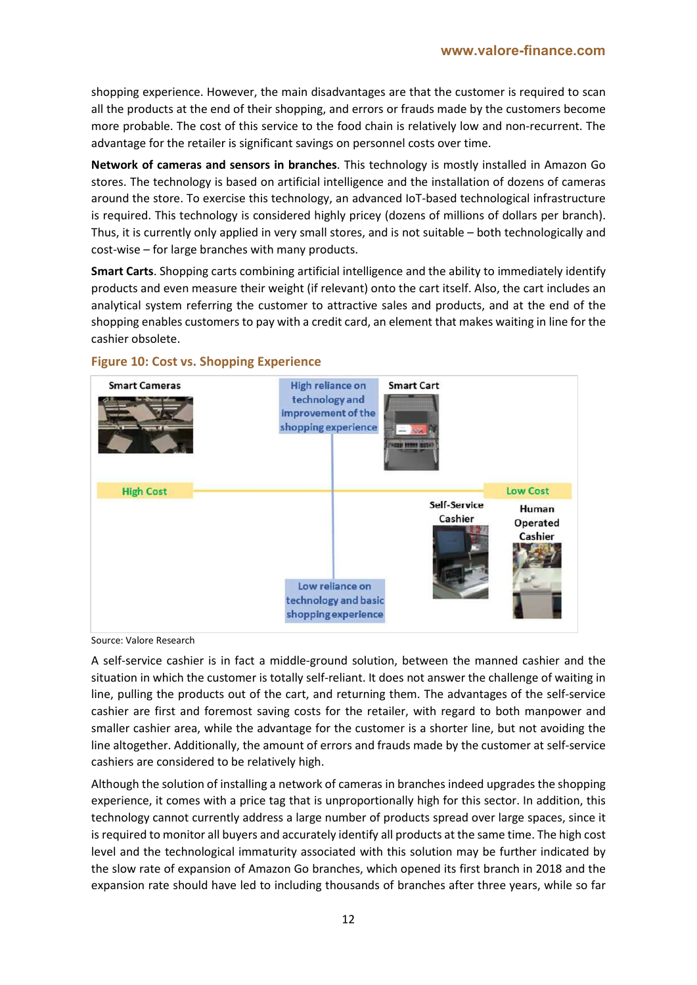shopping experience. However, the main disadvantages are that the customer is required to scan all the products at the end of their shopping, and errors or frauds made by the customers become more probable. The cost of this service to the food chain is relatively low and non-recurrent. The advantage for the retailer is significant savings on personnel costs over time.

**Network of cameras and sensors in branches**. This technology is mostly installed in Amazon Go stores. The technology is based on artificial intelligence and the installation of dozens of cameras around the store. To exercise this technology, an advanced IoT-based technological infrastructure is required. This technology is considered highly pricey (dozens of millions of dollars per branch). Thus, it is currently only applied in very small stores, and is not suitable – both technologically and cost-wise – for large branches with many products.

**Smart Carts**. Shopping carts combining artificial intelligence and the ability to immediately identify products and even measure their weight (if relevant) onto the cart itself. Also, the cart includes an analytical system referring the customer to attractive sales and products, and at the end of the shopping enables customers to pay with a credit card, an element that makes waiting in line for the cashier obsolete.



#### **Figure 10: Cost vs. Shopping Experience**

Source: Valore Research

A self-service cashier is in fact a middle-ground solution, between the manned cashier and the situation in which the customer is totally self-reliant. It does not answer the challenge of waiting in line, pulling the products out of the cart, and returning them. The advantages of the self-service cashier are first and foremost saving costs for the retailer, with regard to both manpower and smaller cashier area, while the advantage for the customer is a shorter line, but not avoiding the line altogether. Additionally, the amount of errors and frauds made by the customer at self-service cashiers are considered to be relatively high.

Although the solution of installing a network of cameras in branches indeed upgrades the shopping experience, it comes with a price tag that is unproportionally high for this sector. In addition, this technology cannot currently address a large number of products spread over large spaces, since it is required to monitor all buyers and accurately identify all products at the same time. The high cost level and the technological immaturity associated with this solution may be further indicated by the slow rate of expansion of Amazon Go branches, which opened its first branch in 2018 and the expansion rate should have led to including thousands of branches after three years, while so far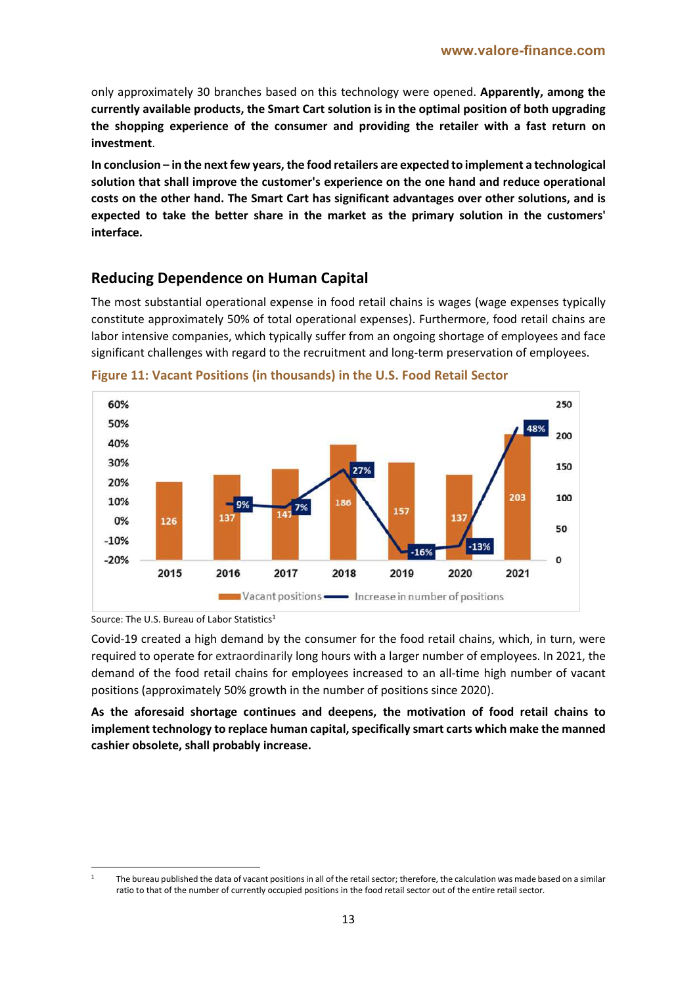only approximately 30 branches based on this technology were opened. **Apparently, among the currently available products, the Smart Cart solution is in the optimal position of both upgrading the shopping experience of the consumer and providing the retailer with a fast return on investment**.

**In conclusion – in the next few years, the food retailers are expected to implement a technological solution that shall improve the customer's experience on the one hand and reduce operational costs on the other hand. The Smart Cart has significant advantages over other solutions, and is expected to take the better share in the market as the primary solution in the customers' interface.** 

### **Reducing Dependence on Human Capital**

The most substantial operational expense in food retail chains is wages (wage expenses typically constitute approximately 50% of total operational expenses). Furthermore, food retail chains are labor intensive companies, which typically suffer from an ongoing shortage of employees and face significant challenges with regard to the recruitment and long-term preservation of employees.



**Figure 11: Vacant Positions (in thousands) in the U.S. Food Retail Sector**

Covid-19 created a high demand by the consumer for the food retail chains, which, in turn, were required to operate for extraordinarily long hours with a larger number of employees. In 2021, the demand of the food retail chains for employees increased to an all-time high number of vacant positions (approximately 50% growth in the number of positions since 2020).

**As the aforesaid shortage continues and deepens, the motivation of food retail chains to implement technology to replace human capital, specifically smart carts which make the manned cashier obsolete, shall probably increase.**

Source: The U.S. Bureau of Labor Statistics<sup>1</sup>

The bureau published the data of vacant positions in all of the retail sector; therefore, the calculation was made based on a similar ratio to that of the number of currently occupied positions in the food retail sector out of the entire retail sector.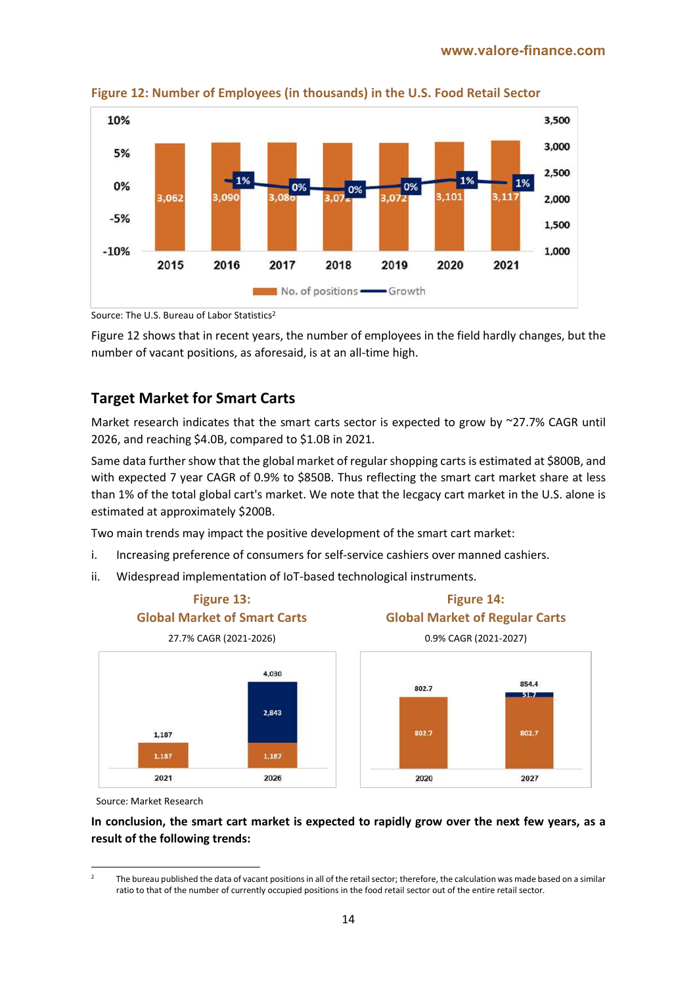

**Figure 12: Number of Employees (in thousands) in the U.S. Food Retail Sector**

Source: The U.S. Bureau of Labor Statistics2

Figure 12 shows that in recent years, the number of employees in the field hardly changes, but the number of vacant positions, as aforesaid, is at an all-time high.

## **Target Market for Smart Carts**

Market research indicates that the smart carts sector is expected to grow by ~27.7% CAGR until 2026, and reaching \$4.0B, compared to \$1.0B in 2021.

Same data further show that the global market of regular shopping carts is estimated at \$800B, and with expected 7 year CAGR of 0.9% to \$850B. Thus reflecting the smart cart market share at less than 1% of the total global cart's market. We note that the lecgacy cart market in the U.S. alone is estimated at approximately \$200B.

Two main trends may impact the positive development of the smart cart market:

- i. Increasing preference of consumers for self-service cashiers over manned cashiers.
- ii. Widespread implementation of IoT-based technological instruments.



Source: Market Research

**In conclusion, the smart cart market is expected to rapidly grow over the next few years, as a result of the following trends:**

The bureau published the data of vacant positions in all of the retail sector; therefore, the calculation was made based on a similar ratio to that of the number of currently occupied positions in the food retail sector out of the entire retail sector.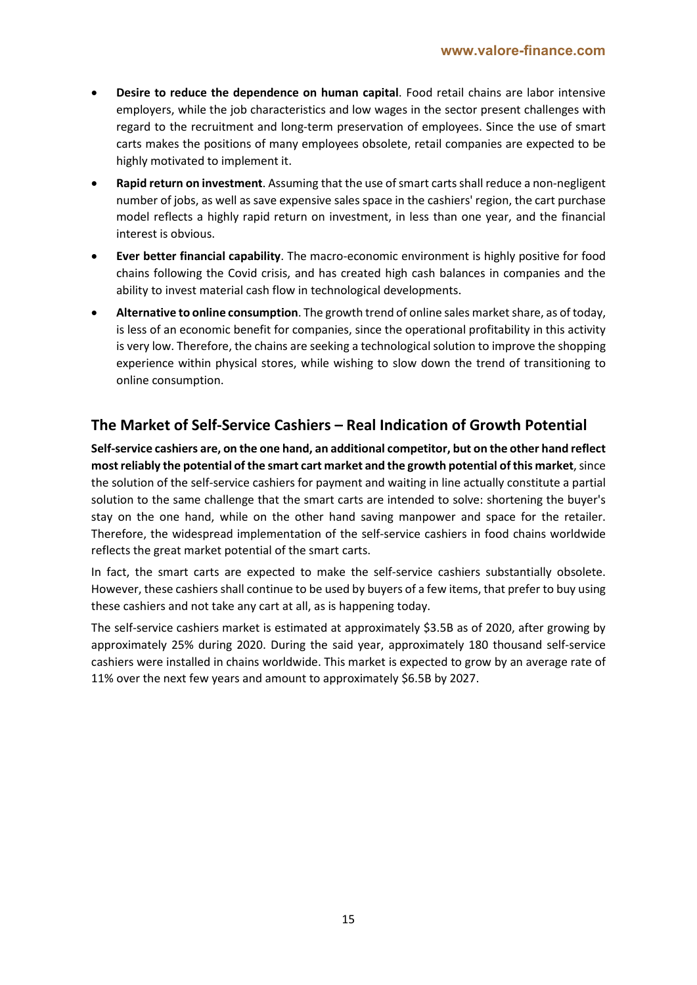- **Desire to reduce the dependence on human capital**. Food retail chains are labor intensive employers, while the job characteristics and low wages in the sector present challenges with regard to the recruitment and long-term preservation of employees. Since the use of smart carts makes the positions of many employees obsolete, retail companies are expected to be highly motivated to implement it.
- **Rapid return on investment**. Assuming that the use of smart carts shall reduce a non-negligent number of jobs, as well as save expensive sales space in the cashiers' region, the cart purchase model reflects a highly rapid return on investment, in less than one year, and the financial interest is obvious.
- **Ever better financial capability**. The macro-economic environment is highly positive for food chains following the Covid crisis, and has created high cash balances in companies and the ability to invest material cash flow in technological developments.
- **Alternative to online consumption**. The growth trend of online sales market share, as of today, is less of an economic benefit for companies, since the operational profitability in this activity is very low. Therefore, the chains are seeking a technological solution to improve the shopping experience within physical stores, while wishing to slow down the trend of transitioning to online consumption.

## **The Market of Self-Service Cashiers – Real Indication of Growth Potential**

**Self-service cashiers are, on the one hand, an additional competitor, but on the other hand reflect most reliably the potential of the smart cart market and the growth potential of this market**, since the solution of the self-service cashiers for payment and waiting in line actually constitute a partial solution to the same challenge that the smart carts are intended to solve: shortening the buyer's stay on the one hand, while on the other hand saving manpower and space for the retailer. Therefore, the widespread implementation of the self-service cashiers in food chains worldwide reflects the great market potential of the smart carts.

In fact, the smart carts are expected to make the self-service cashiers substantially obsolete. However, these cashiers shall continue to be used by buyers of a few items, that prefer to buy using these cashiers and not take any cart at all, as is happening today.

The self-service cashiers market is estimated at approximately \$3.5B as of 2020, after growing by approximately 25% during 2020. During the said year, approximately 180 thousand self-service cashiers were installed in chains worldwide. This market is expected to grow by an average rate of 11% over the next few years and amount to approximately \$6.5B by 2027.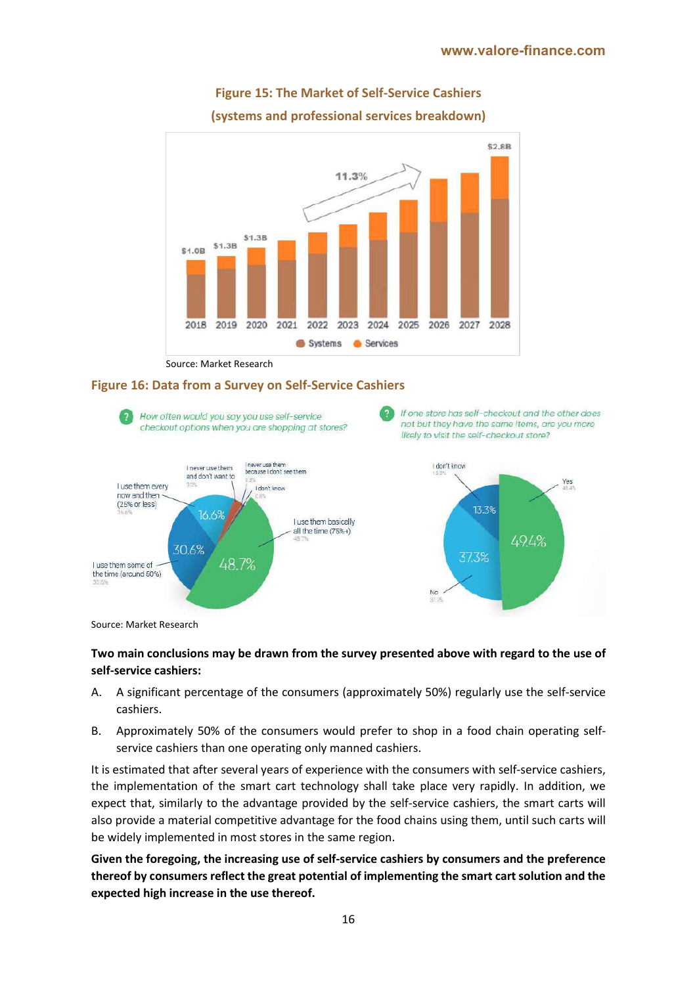

# **Figure 15: The Market of Self-Service Cashiers (systems and professional services breakdown)**

Source: Market Research

#### **Figure 16: Data from a Survey on Self-Service Cashiers**



Source: Market Research

#### **Two main conclusions may be drawn from the survey presented above with regard to the use of self-service cashiers:**

- A. A significant percentage of the consumers (approximately 50%) regularly use the self-service cashiers.
- B. Approximately 50% of the consumers would prefer to shop in a food chain operating selfservice cashiers than one operating only manned cashiers.

It is estimated that after several years of experience with the consumers with self-service cashiers, the implementation of the smart cart technology shall take place very rapidly. In addition, we expect that, similarly to the advantage provided by the self-service cashiers, the smart carts will also provide a material competitive advantage for the food chains using them, until such carts will be widely implemented in most stores in the same region.

**Given the foregoing, the increasing use of self-service cashiers by consumers and the preference thereof by consumers reflect the great potential of implementing the smart cart solution and the expected high increase in the use thereof.**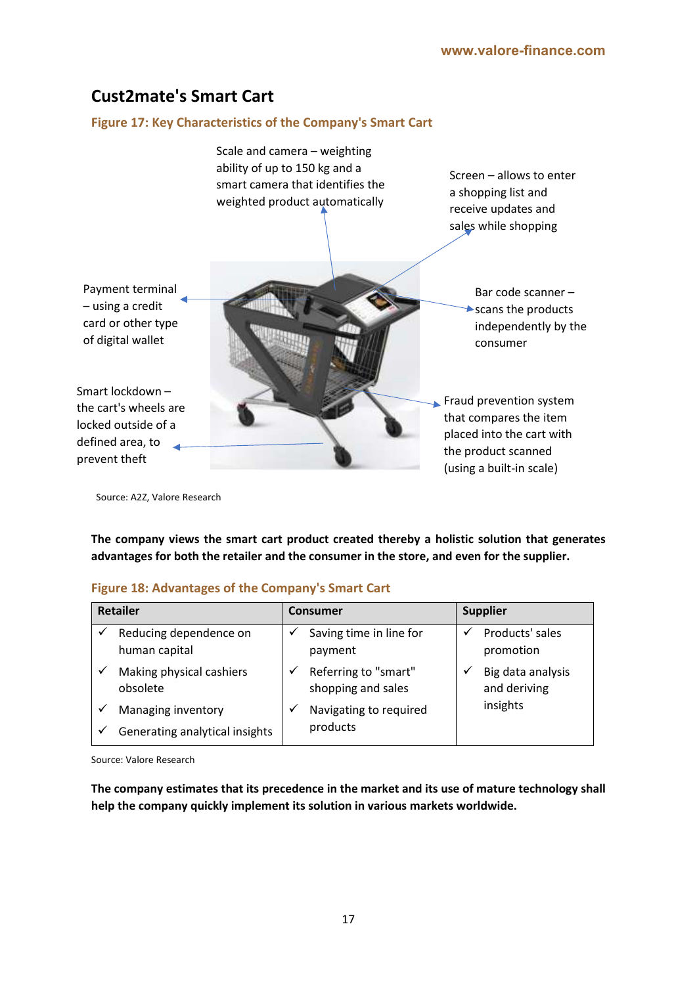# **Cust2mate's Smart Cart**

#### **Figure 17: Key Characteristics of the Company's Smart Cart**



Source: A2Z, Valore Research

**The company views the smart cart product created thereby a holistic solution that generates advantages for both the retailer and the consumer in the store, and even for the supplier.**

#### **Figure 18: Advantages of the Company's Smart Cart**

| <b>Retailer</b> |                                         | <b>Consumer</b> |                                            |  | <b>Supplier</b>                   |  |  |
|-----------------|-----------------------------------------|-----------------|--------------------------------------------|--|-----------------------------------|--|--|
|                 | Reducing dependence on<br>human capital |                 | Saving time in line for<br>payment         |  | Products' sales<br>promotion      |  |  |
|                 | Making physical cashiers<br>obsolete    |                 | Referring to "smart"<br>shopping and sales |  | Big data analysis<br>and deriving |  |  |
|                 | Managing inventory                      |                 | Navigating to required                     |  | insights                          |  |  |
|                 | Generating analytical insights          |                 | products                                   |  |                                   |  |  |

Source: Valore Research

**The company estimates that its precedence in the market and its use of mature technology shall help the company quickly implement its solution in various markets worldwide.**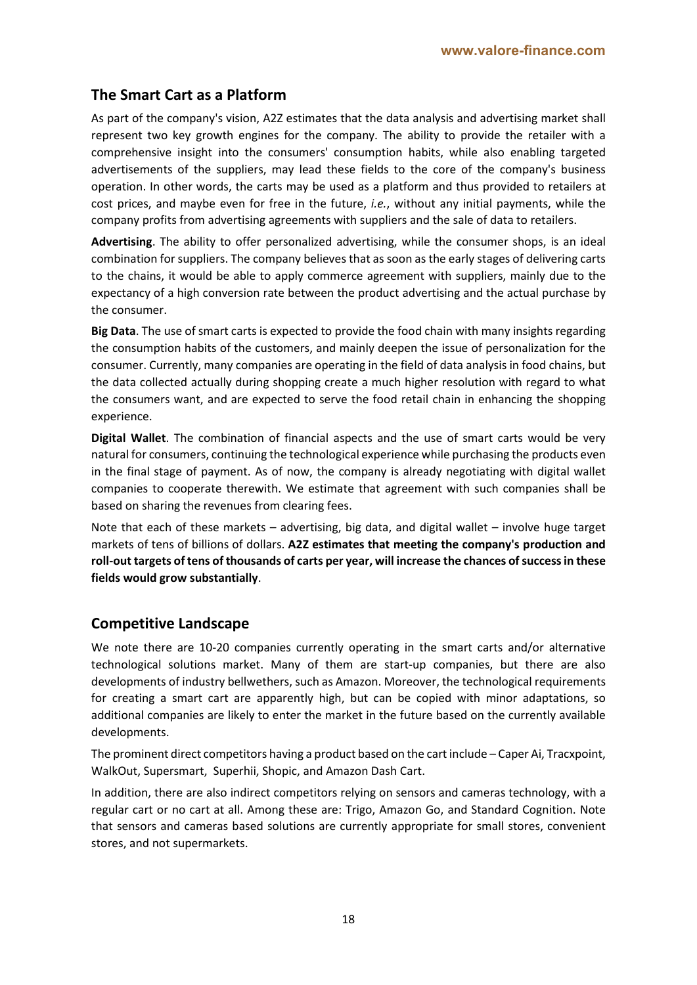### **The Smart Cart as a Platform**

As part of the company's vision, A2Z estimates that the data analysis and advertising market shall represent two key growth engines for the company. The ability to provide the retailer with a comprehensive insight into the consumers' consumption habits, while also enabling targeted advertisements of the suppliers, may lead these fields to the core of the company's business operation. In other words, the carts may be used as a platform and thus provided to retailers at cost prices, and maybe even for free in the future, *i.e.*, without any initial payments, while the company profits from advertising agreements with suppliers and the sale of data to retailers.

**Advertising**. The ability to offer personalized advertising, while the consumer shops, is an ideal combination for suppliers. The company believes that as soon as the early stages of delivering carts to the chains, it would be able to apply commerce agreement with suppliers, mainly due to the expectancy of a high conversion rate between the product advertising and the actual purchase by the consumer.

**Big Data**. The use of smart carts is expected to provide the food chain with many insights regarding the consumption habits of the customers, and mainly deepen the issue of personalization for the consumer. Currently, many companies are operating in the field of data analysis in food chains, but the data collected actually during shopping create a much higher resolution with regard to what the consumers want, and are expected to serve the food retail chain in enhancing the shopping experience.

**Digital Wallet**. The combination of financial aspects and the use of smart carts would be very natural for consumers, continuing the technological experience while purchasing the products even in the final stage of payment. As of now, the company is already negotiating with digital wallet companies to cooperate therewith. We estimate that agreement with such companies shall be based on sharing the revenues from clearing fees.

Note that each of these markets – advertising, big data, and digital wallet – involve huge target markets of tens of billions of dollars. **A2Z estimates that meeting the company's production and roll-out targets of tens of thousands of carts per year, will increase the chances of success in these fields would grow substantially**.

### **Competitive Landscape**

We note there are 10-20 companies currently operating in the smart carts and/or alternative technological solutions market. Many of them are start-up companies, but there are also developments of industry bellwethers, such as Amazon. Moreover, the technological requirements for creating a smart cart are apparently high, but can be copied with minor adaptations, so additional companies are likely to enter the market in the future based on the currently available developments.

The prominent direct competitors having a product based on the cart include – Caper Ai, Tracxpoint, WalkOut, Supersmart, Superhii, Shopic, and Amazon Dash Cart.

In addition, there are also indirect competitors relying on sensors and cameras technology, with a regular cart or no cart at all. Among these are: Trigo, Amazon Go, and Standard Cognition. Note that sensors and cameras based solutions are currently appropriate for small stores, convenient stores, and not supermarkets.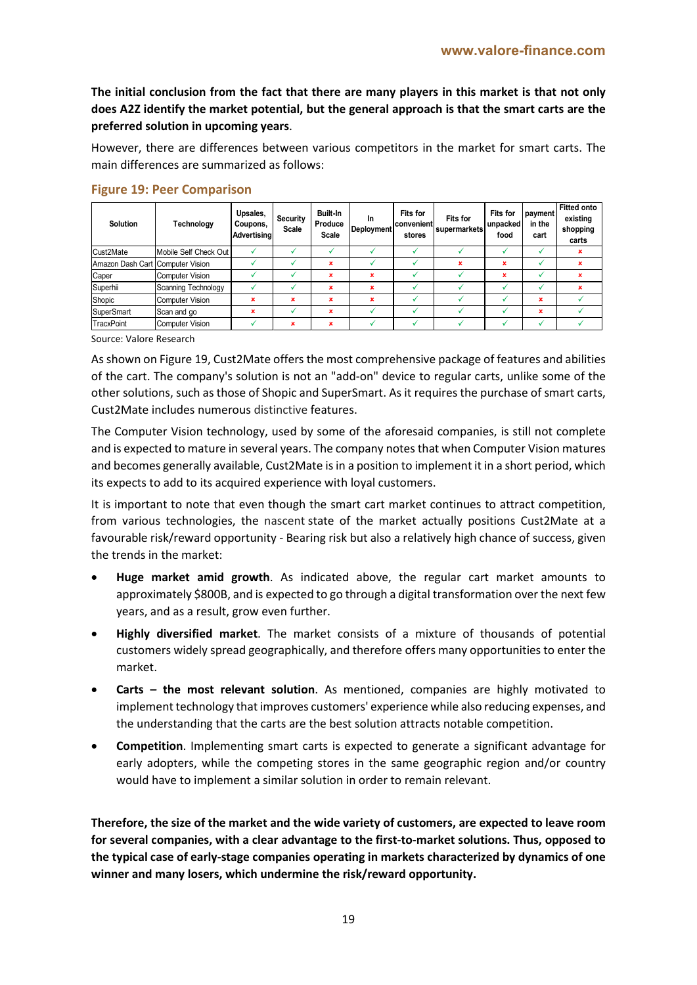**The initial conclusion from the fact that there are many players in this market is that not only does A2Z identify the market potential, but the general approach is that the smart carts are the preferred solution in upcoming years**.

However, there are differences between various competitors in the market for smart carts. The main differences are summarized as follows:

| <b>Solution</b>                  | Technology             | Upsales,<br>Coupons,<br><b>Advertising</b> | Security<br><b>Scale</b> | Built-In<br>Produce<br><b>Scale</b> | <b>In</b><br>Deployment | <b>Fits for</b><br>convenient<br>stores | <b>Fits for</b><br>supermarkets | <b>Fits for</b><br>unpacked<br>food | payment<br>in the<br>cart | <b>Fitted onto</b><br>existing<br>shopping<br>carts |
|----------------------------------|------------------------|--------------------------------------------|--------------------------|-------------------------------------|-------------------------|-----------------------------------------|---------------------------------|-------------------------------------|---------------------------|-----------------------------------------------------|
| Cust2Mate                        | Mobile Self Check Out  |                                            |                          |                                     |                         |                                         |                                 |                                     | √                         | ×                                                   |
| Amazon Dash Cart Computer Vision |                        |                                            |                          | ×                                   |                         |                                         | ×                               | ×                                   |                           | ×                                                   |
| Caper                            | <b>Computer Vision</b> |                                            | v                        | ×                                   | ×                       |                                         |                                 | ×                                   | $\checkmark$              | ×                                                   |
| Superhii                         | Scanning Technology    |                                            |                          | ×                                   | ×                       |                                         |                                 |                                     |                           | ×                                                   |
| Shopic                           | <b>Computer Vision</b> | $\mathbf x$                                | $\mathbf x$              | ×                                   | ×                       |                                         |                                 |                                     | $\mathbf x$               |                                                     |
| <b>SuperSmart</b>                | Scan and go            | $\mathbf x$                                | v                        | ×                                   |                         |                                         |                                 |                                     | $\mathbf x$               |                                                     |
| <b>TracxPoint</b>                | <b>Computer Vision</b> |                                            | ×                        | ×                                   |                         |                                         |                                 |                                     | w                         |                                                     |

#### **Figure 19: Peer Comparison**

Source: Valore Research

As shown on Figure 19, Cust2Mate offers the most comprehensive package of features and abilities of the cart. The company's solution is not an "add-on" device to regular carts, unlike some of the other solutions, such as those of Shopic and SuperSmart. As it requires the purchase of smart carts, Cust2Mate includes numerous distinctive features.

The Computer Vision technology, used by some of the aforesaid companies, is still not complete and is expected to mature in several years. The company notes that when Computer Vision matures and becomes generally available, Cust2Mate is in a position to implement it in a short period, which its expects to add to its acquired experience with loyal customers.

It is important to note that even though the smart cart market continues to attract competition, from various technologies, the nascent state of the market actually positions Cust2Mate at a favourable risk/reward opportunity - Bearing risk but also a relatively high chance of success, given the trends in the market:

- **Huge market amid growth**. As indicated above, the regular cart market amounts to approximately \$800B, and is expected to go through a digital transformation over the next few years, and as a result, grow even further.
- **Highly diversified market**. The market consists of a mixture of thousands of potential customers widely spread geographically, and therefore offers many opportunities to enter the market.
- **Carts – the most relevant solution**. As mentioned, companies are highly motivated to implement technology that improves customers' experience while also reducing expenses, and the understanding that the carts are the best solution attracts notable competition.
- **Competition**. Implementing smart carts is expected to generate a significant advantage for early adopters, while the competing stores in the same geographic region and/or country would have to implement a similar solution in order to remain relevant.

**Therefore, the size of the market and the wide variety of customers, are expected to leave room for several companies, with a clear advantage to the first-to-market solutions. Thus, opposed to the typical case of early-stage companies operating in markets characterized by dynamics of one winner and many losers, which undermine the risk/reward opportunity.**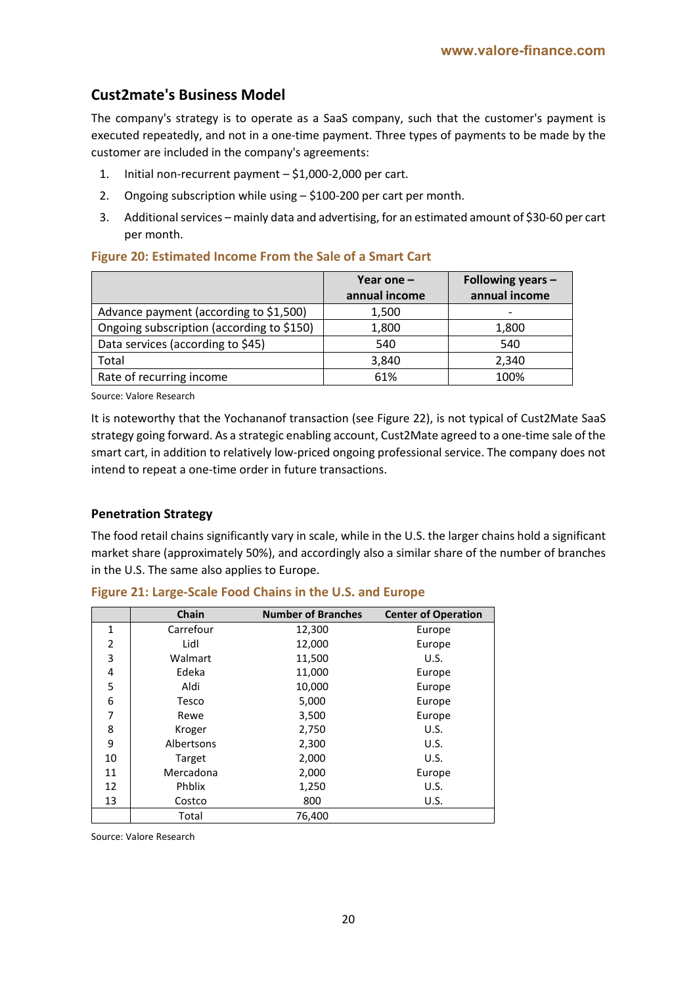# **Cust2mate's Business Model**

The company's strategy is to operate as a SaaS company, such that the customer's payment is executed repeatedly, and not in a one-time payment. Three types of payments to be made by the customer are included in the company's agreements:

- 1. Initial non-recurrent payment \$1,000-2,000 per cart.
- 2. Ongoing subscription while using \$100-200 per cart per month.
- 3. Additional services mainly data and advertising, for an estimated amount of \$30-60 per cart per month.

|                                           | Year one $-$<br>annual income | Following years -<br>annual income |
|-------------------------------------------|-------------------------------|------------------------------------|
| Advance payment (according to \$1,500)    | 1,500                         | -                                  |
| Ongoing subscription (according to \$150) | 1,800                         | 1,800                              |
| Data services (according to \$45)         | 540                           | 540                                |
| Total                                     | 3,840                         | 2,340                              |
| Rate of recurring income                  | 61%                           | 100%                               |

#### **Figure 20: Estimated Income From the Sale of a Smart Cart**

Source: Valore Research

It is noteworthy that the Yochananof transaction (see Figure 22), is not typical of Cust2Mate SaaS strategy going forward. As a strategic enabling account, Cust2Mate agreed to a one-time sale of the smart cart, in addition to relatively low-priced ongoing professional service. The company does not intend to repeat a one-time order in future transactions.

#### **Penetration Strategy**

The food retail chains significantly vary in scale, while in the U.S. the larger chains hold a significant market share (approximately 50%), and accordingly also a similar share of the number of branches in the U.S. The same also applies to Europe.

|                | Chain      | <b>Number of Branches</b> | <b>Center of Operation</b> |
|----------------|------------|---------------------------|----------------------------|
| $\mathbf{1}$   | Carrefour  | 12,300                    | Europe                     |
| $\overline{2}$ | Lidl       | 12,000                    | Europe                     |
| 3              | Walmart    | 11,500                    | U.S.                       |
| 4              | Edeka      | 11,000                    | Europe                     |
| 5              | Aldi       | 10,000                    | Europe                     |
| 6              | Tesco      | 5,000                     | Europe                     |
| 7              | Rewe       | 3,500                     | Europe                     |
| 8              | Kroger     | 2,750                     | U.S.                       |
| 9              | Albertsons | 2,300                     | U.S.                       |
| 10             | Target     | 2,000                     | U.S.                       |
| 11             | Mercadona  | 2,000                     | Europe                     |
| 12             | Phblix     | 1,250                     | U.S.                       |
| 13             | Costco     | 800                       | U.S.                       |
|                | Total      | 76,400                    |                            |

**Figure 21: Large-Scale Food Chains in the U.S. and Europe**

Source: Valore Research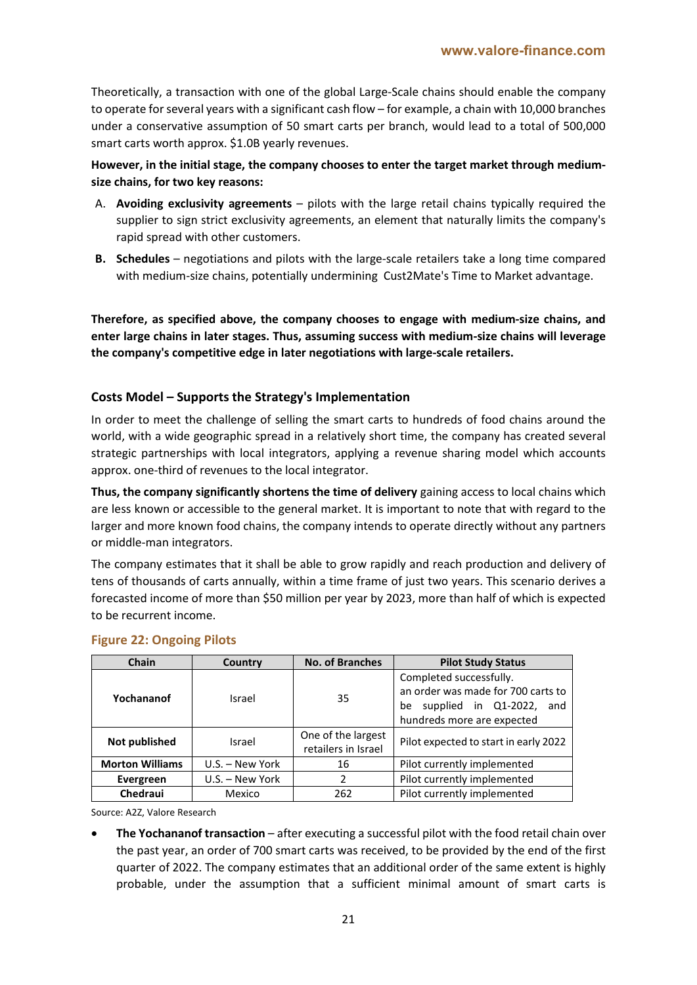Theoretically, a transaction with one of the global Large-Scale chains should enable the company to operate for several years with a significant cash flow – for example, a chain with 10,000 branches under a conservative assumption of 50 smart carts per branch, would lead to a total of 500,000 smart carts worth approx. \$1.0B yearly revenues.

#### **However, in the initial stage, the company chooses to enter the target market through mediumsize chains, for two key reasons:**

- A. **Avoiding exclusivity agreements** pilots with the large retail chains typically required the supplier to sign strict exclusivity agreements, an element that naturally limits the company's rapid spread with other customers.
- **B. Schedules** negotiations and pilots with the large-scale retailers take a long time compared with medium-size chains, potentially undermining Cust2Mate's Time to Market advantage.

**Therefore, as specified above, the company chooses to engage with medium-size chains, and enter large chains in later stages. Thus, assuming success with medium-size chains will leverage the company's competitive edge in later negotiations with large-scale retailers.**

### **Costs Model – Supports the Strategy's Implementation**

In order to meet the challenge of selling the smart carts to hundreds of food chains around the world, with a wide geographic spread in a relatively short time, the company has created several strategic partnerships with local integrators, applying a revenue sharing model which accounts approx. one-third of revenues to the local integrator.

**Thus, the company significantly shortens the time of delivery** gaining access to local chains which are less known or accessible to the general market. It is important to note that with regard to the larger and more known food chains, the company intends to operate directly without any partners or middle-man integrators.

The company estimates that it shall be able to grow rapidly and reach production and delivery of tens of thousands of carts annually, within a time frame of just two years. This scenario derives a forecasted income of more than \$50 million per year by 2023, more than half of which is expected to be recurrent income.

| <b>Chain</b><br>Country |                   | <b>No. of Branches</b>                    | <b>Pilot Study Status</b>                                                                                                        |  |  |
|-------------------------|-------------------|-------------------------------------------|----------------------------------------------------------------------------------------------------------------------------------|--|--|
| Yochananof              | Israel            | 35                                        | Completed successfully.<br>an order was made for 700 carts to<br>supplied in Q1-2022,<br>be<br>and<br>hundreds more are expected |  |  |
| Not published           | Israel            | One of the largest<br>retailers in Israel | Pilot expected to start in early 2022                                                                                            |  |  |
| <b>Morton Williams</b>  | U.S. - New York   | 16                                        | Pilot currently implemented                                                                                                      |  |  |
| Evergreen               | $U.S. - New York$ | 2                                         | Pilot currently implemented                                                                                                      |  |  |
| Chedraui                | Mexico            | 262                                       | Pilot currently implemented                                                                                                      |  |  |

#### **Figure 22: Ongoing Pilots**

Source: A2Z, Valore Research

 **The Yochananof transaction** – after executing a successful pilot with the food retail chain over the past year, an order of 700 smart carts was received, to be provided by the end of the first quarter of 2022. The company estimates that an additional order of the same extent is highly probable, under the assumption that a sufficient minimal amount of smart carts is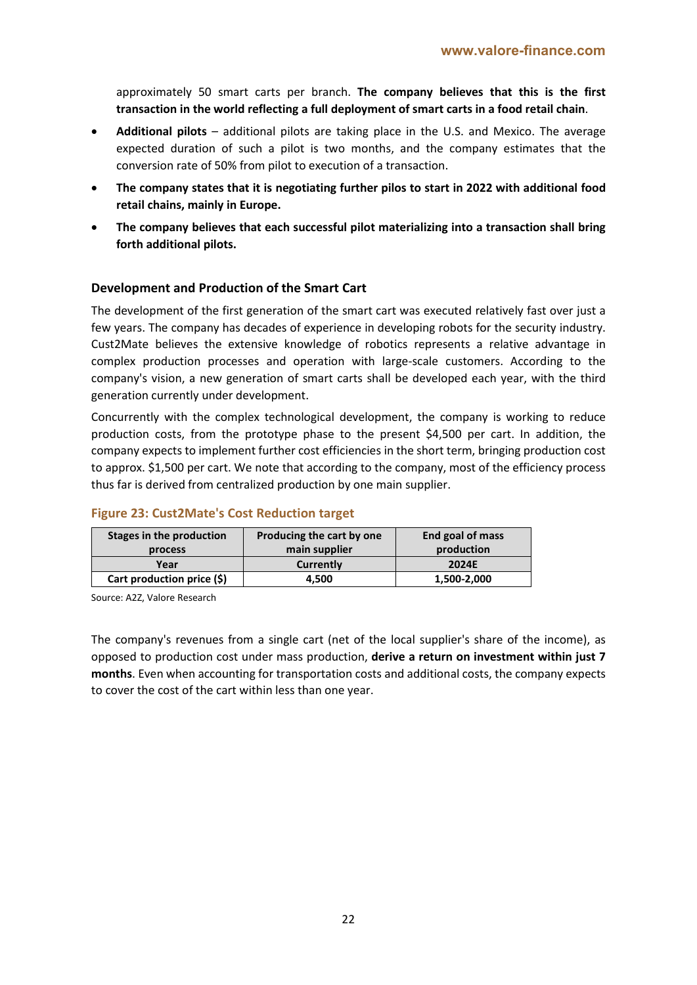approximately 50 smart carts per branch. **The company believes that this is the first transaction in the world reflecting a full deployment of smart carts in a food retail chain**.

- **Additional pilots**  additional pilots are taking place in the U.S. and Mexico. The average expected duration of such a pilot is two months, and the company estimates that the conversion rate of 50% from pilot to execution of a transaction.
- **The company states that it is negotiating further pilos to start in 2022 with additional food retail chains, mainly in Europe.**
- **The company believes that each successful pilot materializing into a transaction shall bring forth additional pilots.**

#### **Development and Production of the Smart Cart**

The development of the first generation of the smart cart was executed relatively fast over just a few years. The company has decades of experience in developing robots for the security industry. Cust2Mate believes the extensive knowledge of robotics represents a relative advantage in complex production processes and operation with large-scale customers. According to the company's vision, a new generation of smart carts shall be developed each year, with the third generation currently under development.

Concurrently with the complex technological development, the company is working to reduce production costs, from the prototype phase to the present \$4,500 per cart. In addition, the company expects to implement further cost efficiencies in the short term, bringing production cost to approx. \$1,500 per cart. We note that according to the company, most of the efficiency process thus far is derived from centralized production by one main supplier.

| Stages in the production   | Producing the cart by one | End goal of mass |
|----------------------------|---------------------------|------------------|
| process                    | main supplier             | production       |
| Year                       | Currently                 | 2024E            |
| Cart production price (\$) | 4.500                     | 1,500-2,000      |

#### **Figure 23: Cust2Mate's Cost Reduction target**

Source: A2Z, Valore Research

The company's revenues from a single cart (net of the local supplier's share of the income), as opposed to production cost under mass production, **derive a return on investment within just 7 months**. Even when accounting for transportation costs and additional costs, the company expects to cover the cost of the cart within less than one year.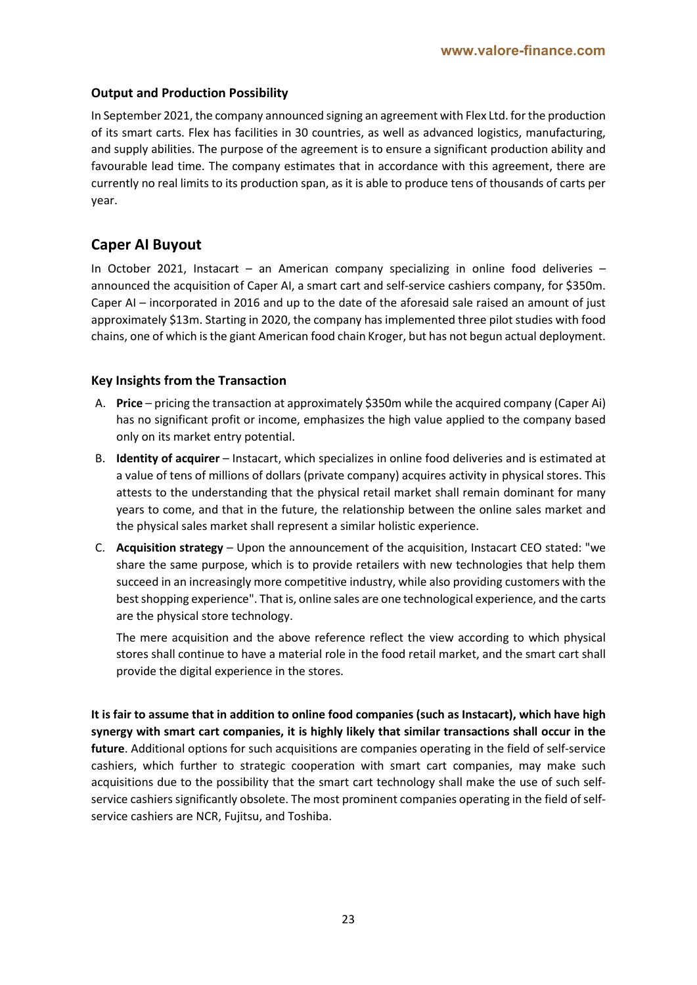### **Output and Production Possibility**

In September 2021, the company announced signing an agreement with Flex Ltd. for the production of its smart carts. Flex has facilities in 30 countries, as well as advanced logistics, manufacturing, and supply abilities. The purpose of the agreement is to ensure a significant production ability and favourable lead time. The company estimates that in accordance with this agreement, there are currently no real limits to its production span, as it is able to produce tens of thousands of carts per year.

# **Caper AI Buyout**

In October 2021, Instacart – an American company specializing in online food deliveries – announced the acquisition of Caper AI, a smart cart and self-service cashiers company, for \$350m. Caper AI – incorporated in 2016 and up to the date of the aforesaid sale raised an amount of just approximately \$13m. Starting in 2020, the company has implemented three pilot studies with food chains, one of which is the giant American food chain Kroger, but has not begun actual deployment.

### **Key Insights from the Transaction**

- A. **Price** pricing the transaction at approximately \$350m while the acquired company (Caper Ai) has no significant profit or income, emphasizes the high value applied to the company based only on its market entry potential.
- B. **Identity of acquirer** Instacart, which specializes in online food deliveries and is estimated at a value of tens of millions of dollars (private company) acquires activity in physical stores. This attests to the understanding that the physical retail market shall remain dominant for many years to come, and that in the future, the relationship between the online sales market and the physical sales market shall represent a similar holistic experience.
- C. **Acquisition strategy** Upon the announcement of the acquisition, Instacart CEO stated: "we share the same purpose, which is to provide retailers with new technologies that help them succeed in an increasingly more competitive industry, while also providing customers with the best shopping experience". That is, online sales are one technological experience, and the carts are the physical store technology.

The mere acquisition and the above reference reflect the view according to which physical stores shall continue to have a material role in the food retail market, and the smart cart shall provide the digital experience in the stores.

**It is fair to assume that in addition to online food companies (such as Instacart), which have high synergy with smart cart companies, it is highly likely that similar transactions shall occur in the future**. Additional options for such acquisitions are companies operating in the field of self-service cashiers, which further to strategic cooperation with smart cart companies, may make such acquisitions due to the possibility that the smart cart technology shall make the use of such selfservice cashiers significantly obsolete. The most prominent companies operating in the field of selfservice cashiers are NCR, Fujitsu, and Toshiba.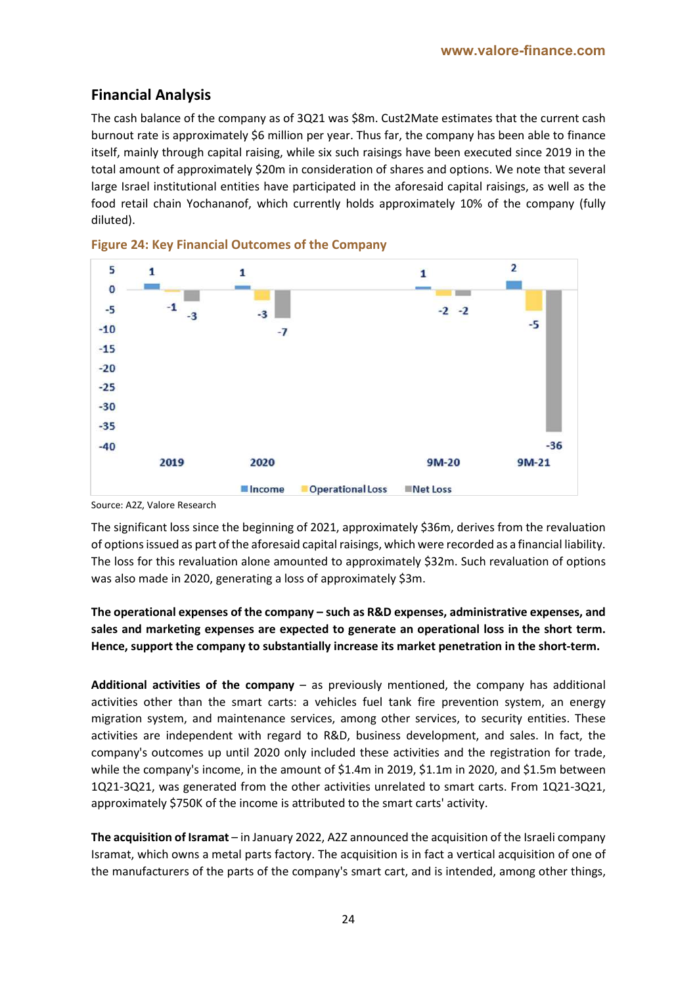# **Financial Analysis**

The cash balance of the company as of 3Q21 was \$8m. Cust2Mate estimates that the current cash burnout rate is approximately \$6 million per year. Thus far, the company has been able to finance itself, mainly through capital raising, while six such raisings have been executed since 2019 in the total amount of approximately \$20m in consideration of shares and options. We note that several large Israel institutional entities have participated in the aforesaid capital raisings, as well as the food retail chain Yochananof, which currently holds approximately 10% of the company (fully diluted).





Source: A2Z, Valore Research

The significant loss since the beginning of 2021, approximately \$36m, derives from the revaluation of options issued as part of the aforesaid capital raisings, which were recorded as a financial liability. The loss for this revaluation alone amounted to approximately \$32m. Such revaluation of options was also made in 2020, generating a loss of approximately \$3m.

### **The operational expenses of the company – such as R&D expenses, administrative expenses, and sales and marketing expenses are expected to generate an operational loss in the short term. Hence, support the company to substantially increase its market penetration in the short-term.**

**Additional activities of the company** – as previously mentioned, the company has additional activities other than the smart carts: a vehicles fuel tank fire prevention system, an energy migration system, and maintenance services, among other services, to security entities. These activities are independent with regard to R&D, business development, and sales. In fact, the company's outcomes up until 2020 only included these activities and the registration for trade, while the company's income, in the amount of \$1.4m in 2019, \$1.1m in 2020, and \$1.5m between 1Q21-3Q21, was generated from the other activities unrelated to smart carts. From 1Q21-3Q21, approximately \$750K of the income is attributed to the smart carts' activity.

**The acquisition of Isramat** – in January 2022, A2Z announced the acquisition of the Israeli company Isramat, which owns a metal parts factory. The acquisition is in fact a vertical acquisition of one of the manufacturers of the parts of the company's smart cart, and is intended, among other things,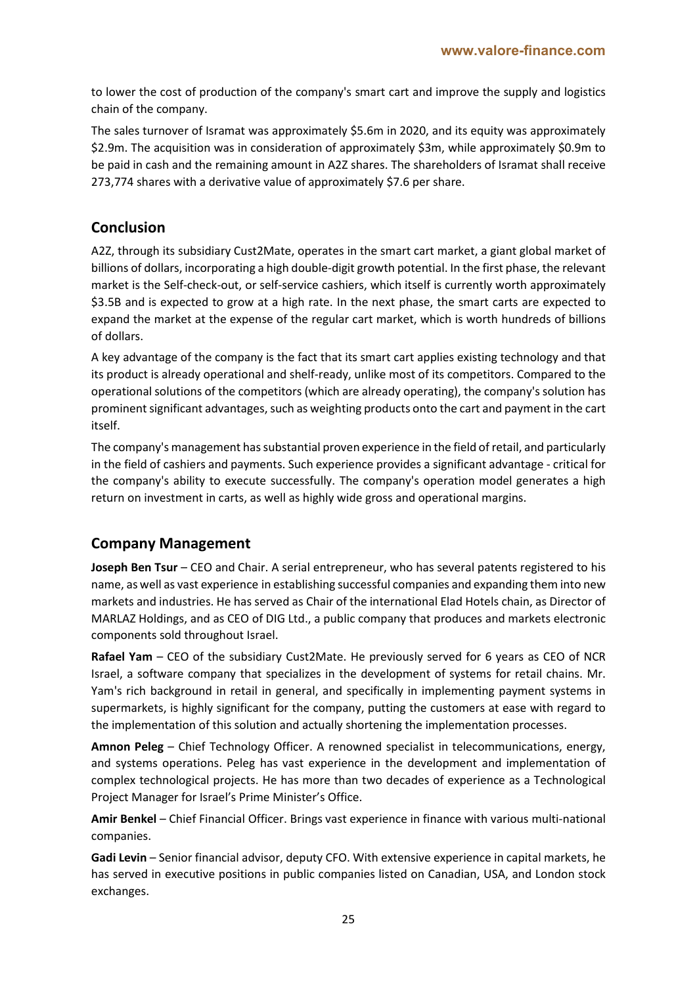to lower the cost of production of the company's smart cart and improve the supply and logistics chain of the company.

The sales turnover of Isramat was approximately \$5.6m in 2020, and its equity was approximately \$2.9m. The acquisition was in consideration of approximately \$3m, while approximately \$0.9m to be paid in cash and the remaining amount in A2Z shares. The shareholders of Isramat shall receive 273,774 shares with a derivative value of approximately \$7.6 per share.

# **Conclusion**

A2Z, through its subsidiary Cust2Mate, operates in the smart cart market, a giant global market of billions of dollars, incorporating a high double-digit growth potential. In the first phase, the relevant market is the Self-check-out, or self-service cashiers, which itself is currently worth approximately \$3.5B and is expected to grow at a high rate. In the next phase, the smart carts are expected to expand the market at the expense of the regular cart market, which is worth hundreds of billions of dollars.

A key advantage of the company is the fact that its smart cart applies existing technology and that its product is already operational and shelf-ready, unlike most of its competitors. Compared to the operational solutions of the competitors (which are already operating), the company's solution has prominent significant advantages, such as weighting products onto the cart and payment in the cart itself.

The company's management has substantial proven experience in the field of retail, and particularly in the field of cashiers and payments. Such experience provides a significant advantage - critical for the company's ability to execute successfully. The company's operation model generates a high return on investment in carts, as well as highly wide gross and operational margins.

# **Company Management**

**Joseph Ben Tsur** – CEO and Chair. A serial entrepreneur, who has several patents registered to his name, as well as vast experience in establishing successful companies and expanding them into new markets and industries. He has served as Chair of the international Elad Hotels chain, as Director of MARLAZ Holdings, and as CEO of DIG Ltd., a public company that produces and markets electronic components sold throughout Israel.

**Rafael Yam** – CEO of the subsidiary Cust2Mate. He previously served for 6 years as CEO of NCR Israel, a software company that specializes in the development of systems for retail chains. Mr. Yam's rich background in retail in general, and specifically in implementing payment systems in supermarkets, is highly significant for the company, putting the customers at ease with regard to the implementation of this solution and actually shortening the implementation processes.

**Amnon Peleg** – Chief Technology Officer. A renowned specialist in telecommunications, energy, and systems operations. Peleg has vast experience in the development and implementation of complex technological projects. He has more than two decades of experience as a Technological Project Manager for Israel's Prime Minister's Office.

**Amir Benkel** – Chief Financial Officer. Brings vast experience in finance with various multi-national companies.

**Gadi Levin** – Senior financial advisor, deputy CFO. With extensive experience in capital markets, he has served in executive positions in public companies listed on Canadian, USA, and London stock exchanges.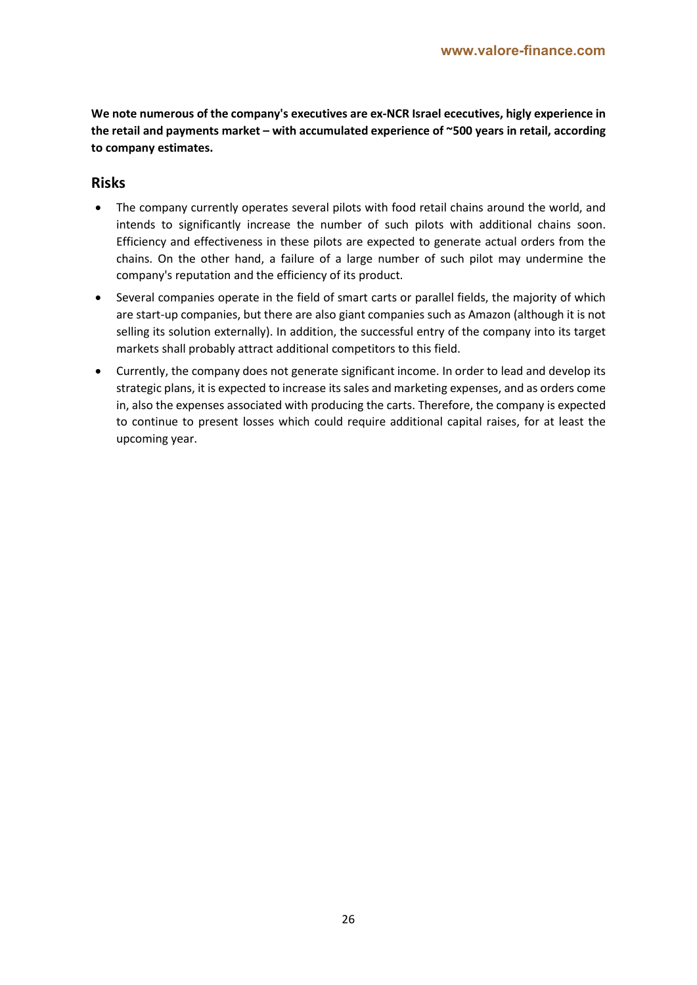**We note numerous of the company's executives are ex-NCR Israel ececutives, higly experience in the retail and payments market – with accumulated experience of ~500 years in retail, according to company estimates.**

#### **Risks**

- The company currently operates several pilots with food retail chains around the world, and intends to significantly increase the number of such pilots with additional chains soon. Efficiency and effectiveness in these pilots are expected to generate actual orders from the chains. On the other hand, a failure of a large number of such pilot may undermine the company's reputation and the efficiency of its product.
- Several companies operate in the field of smart carts or parallel fields, the majority of which are start-up companies, but there are also giant companies such as Amazon (although it is not selling its solution externally). In addition, the successful entry of the company into its target markets shall probably attract additional competitors to this field.
- Currently, the company does not generate significant income. In order to lead and develop its strategic plans, it is expected to increase its sales and marketing expenses, and as orders come in, also the expenses associated with producing the carts. Therefore, the company is expected to continue to present losses which could require additional capital raises, for at least the upcoming year.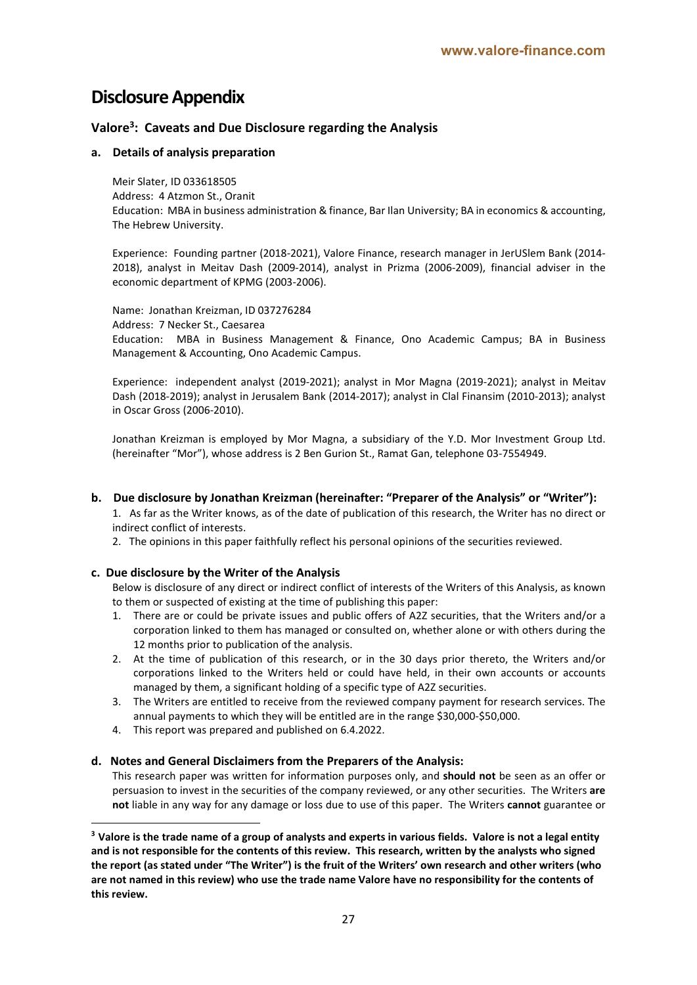# **Disclosure Appendix**

#### **Valore3: Caveats and Due Disclosure regarding the Analysis**

#### **a. Details of analysis preparation**

Meir Slater, ID 033618505 Address: 4 Atzmon St., Oranit Education: MBA in business administration & finance, Bar Ilan University; BA in economics & accounting, The Hebrew University.

Experience: Founding partner (2018-2021), Valore Finance, research manager in JerUSlem Bank (2014- 2018), analyst in Meitav Dash (2009-2014), analyst in Prizma (2006-2009), financial adviser in the economic department of KPMG (2003-2006).

Name: Jonathan Kreizman, ID 037276284 Address: 7 Necker St., Caesarea Education: MBA in Business Management & Finance, Ono Academic Campus; BA in Business Management & Accounting, Ono Academic Campus.

Experience: independent analyst (2019-2021); analyst in Mor Magna (2019-2021); analyst in Meitav Dash (2018-2019); analyst in Jerusalem Bank (2014-2017); analyst in Clal Finansim (2010-2013); analyst in Oscar Gross (2006-2010).

Jonathan Kreizman is employed by Mor Magna, a subsidiary of the Y.D. Mor Investment Group Ltd. (hereinafter "Mor"), whose address is 2 Ben Gurion St., Ramat Gan, telephone 03-7554949.

#### **b. Due disclosure by Jonathan Kreizman (hereinafter: "Preparer of the Analysis" or "Writer"):**

1. As far as the Writer knows, as of the date of publication of this research, the Writer has no direct or indirect conflict of interests.

2. The opinions in this paper faithfully reflect his personal opinions of the securities reviewed.

#### **c. Due disclosure by the Writer of the Analysis**

Below is disclosure of any direct or indirect conflict of interests of the Writers of this Analysis, as known to them or suspected of existing at the time of publishing this paper:

- 1. There are or could be private issues and public offers of A2Z securities, that the Writers and/or a corporation linked to them has managed or consulted on, whether alone or with others during the 12 months prior to publication of the analysis.
- 2. At the time of publication of this research, or in the 30 days prior thereto, the Writers and/or corporations linked to the Writers held or could have held, in their own accounts or accounts managed by them, a significant holding of a specific type of A2Z securities.
- 3. The Writers are entitled to receive from the reviewed company payment for research services. The annual payments to which they will be entitled are in the range \$30,000-\$50,000.
- 4. This report was prepared and published on 6.4.2022.

#### **d. Notes and General Disclaimers from the Preparers of the Analysis:**

This research paper was written for information purposes only, and **should not** be seen as an offer or persuasion to invest in the securities of the company reviewed, or any other securities. The Writers **are not** liable in any way for any damage or loss due to use of this paper. The Writers **cannot** guarantee or

**<sup>3</sup> Valore is the trade name of a group of analysts and experts in various fields. Valore is not a legal entity and is not responsible for the contents of this review. This research, written by the analysts who signed the report (as stated under "The Writer") is the fruit of the Writers' own research and other writers (who are not named in this review) who use the trade name Valore have no responsibility for the contents of this review.**